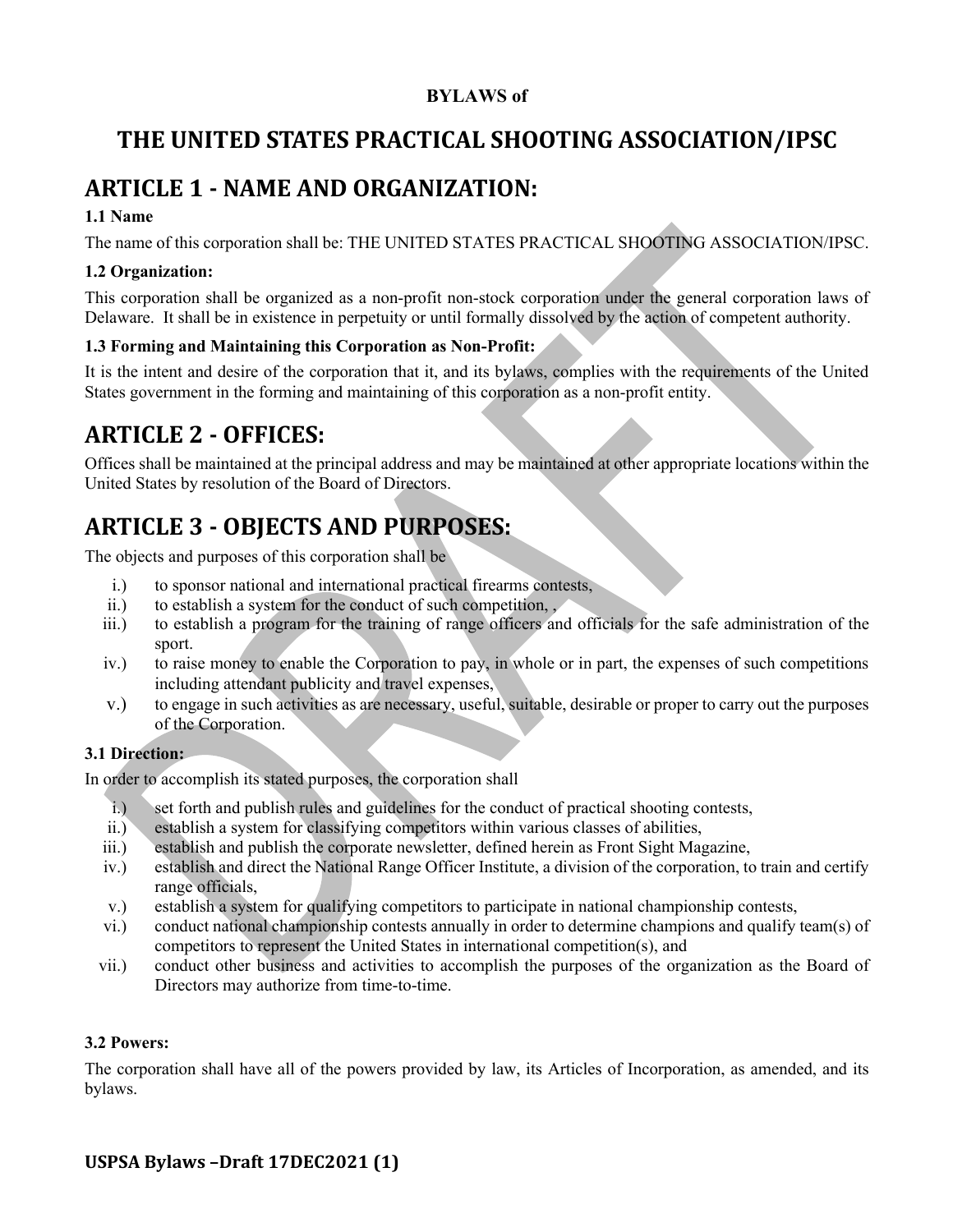# **BYLAWS of**

# THE UNITED STATES PRACTICAL SHOOTING ASSOCIATION/IPSC

# **ARTICLE 1 - NAME AND ORGANIZATION:**

# **1.1 Name**

The name of this corporation shall be: THE UNITED STATES PRACTICAL SHOOTING ASSOCIATION/IPSC.

# **1.2 Organization:**

This corporation shall be organized as a non-profit non-stock corporation under the general corporation laws of Delaware. It shall be in existence in perpetuity or until formally dissolved by the action of competent authority.

# **1.3 Forming and Maintaining this Corporation as Non-Profit:**

It is the intent and desire of the corporation that it, and its bylaws, complies with the requirements of the United States government in the forming and maintaining of this corporation as a non-profit entity.

# **ARTICLE 2 - OFFICES:**

Offices shall be maintained at the principal address and may be maintained at other appropriate locations within the United States by resolution of the Board of Directors.

# **ARTICLE 3 - OBJECTS AND PURPOSES:**

The objects and purposes of this corporation shall be

- i.) to sponsor national and international practical firearms contests,
- ii.) to establish a system for the conduct of such competition, ,
- iii.) to establish a program for the training of range officers and officials for the safe administration of the sport.
- iv.) to raise money to enable the Corporation to pay, in whole or in part, the expenses of such competitions including attendant publicity and travel expenses,
- v.) to engage in such activities as are necessary, useful, suitable, desirable or proper to carry out the purposes of the Corporation.

# **3.1 Direction:**

In order to accomplish its stated purposes, the corporation shall

- i.) set forth and publish rules and guidelines for the conduct of practical shooting contests,
- ii.) establish a system for classifying competitors within various classes of abilities,
- iii.) establish and publish the corporate newsletter, defined herein as Front Sight Magazine,
- iv.) establish and direct the National Range Officer Institute, a division of the corporation, to train and certify range officials,
- v.) establish a system for qualifying competitors to participate in national championship contests,
- vi.) conduct national championship contests annually in order to determine champions and qualify team(s) of competitors to represent the United States in international competition(s), and
- vii.) conduct other business and activities to accomplish the purposes of the organization as the Board of Directors may authorize from time-to-time.

# **3.2 Powers:**

The corporation shall have all of the powers provided by law, its Articles of Incorporation, as amended, and its bylaws.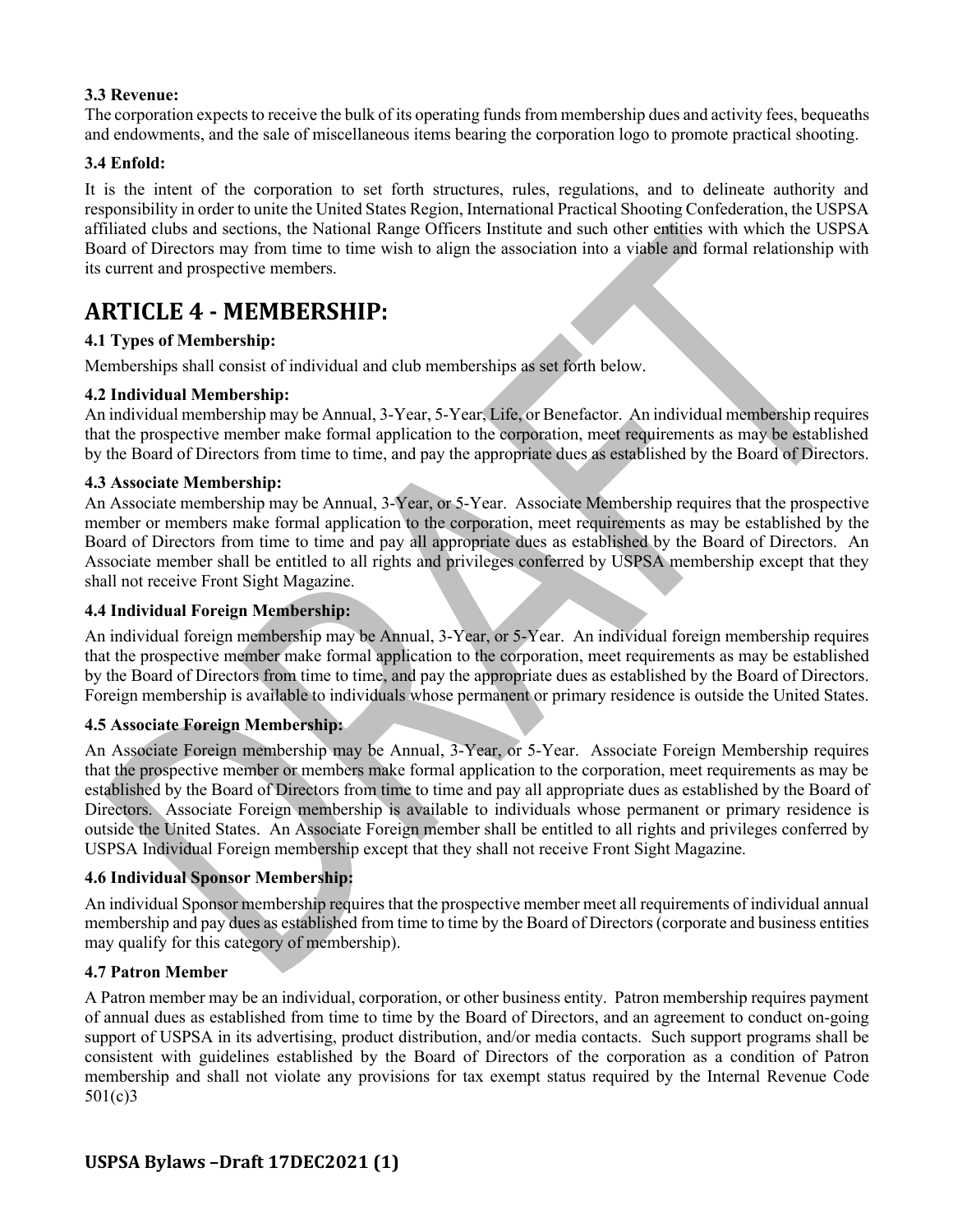### **3.3 Revenue:**

The corporation expects to receive the bulk of its operating funds from membership dues and activity fees, bequeaths and endowments, and the sale of miscellaneous items bearing the corporation logo to promote practical shooting.

### **3.4 Enfold:**

It is the intent of the corporation to set forth structures, rules, regulations, and to delineate authority and responsibility in order to unite the United States Region, International Practical Shooting Confederation, the USPSA affiliated clubs and sections, the National Range Officers Institute and such other entities with which the USPSA Board of Directors may from time to time wish to align the association into a viable and formal relationship with its current and prospective members.

# **ARTICLE 4 - MEMBERSHIP:**

# **4.1 Types of Membership:**

Memberships shall consist of individual and club memberships as set forth below.

### **4.2 Individual Membership:**

An individual membership may be Annual, 3-Year, 5-Year, Life, or Benefactor. An individual membership requires that the prospective member make formal application to the corporation, meet requirements as may be established by the Board of Directors from time to time, and pay the appropriate dues as established by the Board of Directors.

### **4.3 Associate Membership:**

An Associate membership may be Annual, 3-Year, or 5-Year. Associate Membership requires that the prospective member or members make formal application to the corporation, meet requirements as may be established by the Board of Directors from time to time and pay all appropriate dues as established by the Board of Directors. An Associate member shall be entitled to all rights and privileges conferred by USPSA membership except that they shall not receive Front Sight Magazine.

#### **4.4 Individual Foreign Membership:**

An individual foreign membership may be Annual, 3-Year, or 5-Year. An individual foreign membership requires that the prospective member make formal application to the corporation, meet requirements as may be established by the Board of Directors from time to time, and pay the appropriate dues as established by the Board of Directors. Foreign membership is available to individuals whose permanent or primary residence is outside the United States.

#### **4.5 Associate Foreign Membership:**

An Associate Foreign membership may be Annual, 3-Year, or 5-Year. Associate Foreign Membership requires that the prospective member or members make formal application to the corporation, meet requirements as may be established by the Board of Directors from time to time and pay all appropriate dues as established by the Board of Directors. Associate Foreign membership is available to individuals whose permanent or primary residence is outside the United States. An Associate Foreign member shall be entitled to all rights and privileges conferred by USPSA Individual Foreign membership except that they shall not receive Front Sight Magazine.

#### **4.6 Individual Sponsor Membership:**

An individual Sponsor membership requires that the prospective member meet all requirements of individual annual membership and pay dues as established from time to time by the Board of Directors (corporate and business entities may qualify for this category of membership).

#### **4.7 Patron Member**

A Patron member may be an individual, corporation, or other business entity. Patron membership requires payment of annual dues as established from time to time by the Board of Directors, and an agreement to conduct on-going support of USPSA in its advertising, product distribution, and/or media contacts. Such support programs shall be consistent with guidelines established by the Board of Directors of the corporation as a condition of Patron membership and shall not violate any provisions for tax exempt status required by the Internal Revenue Code 501(c)3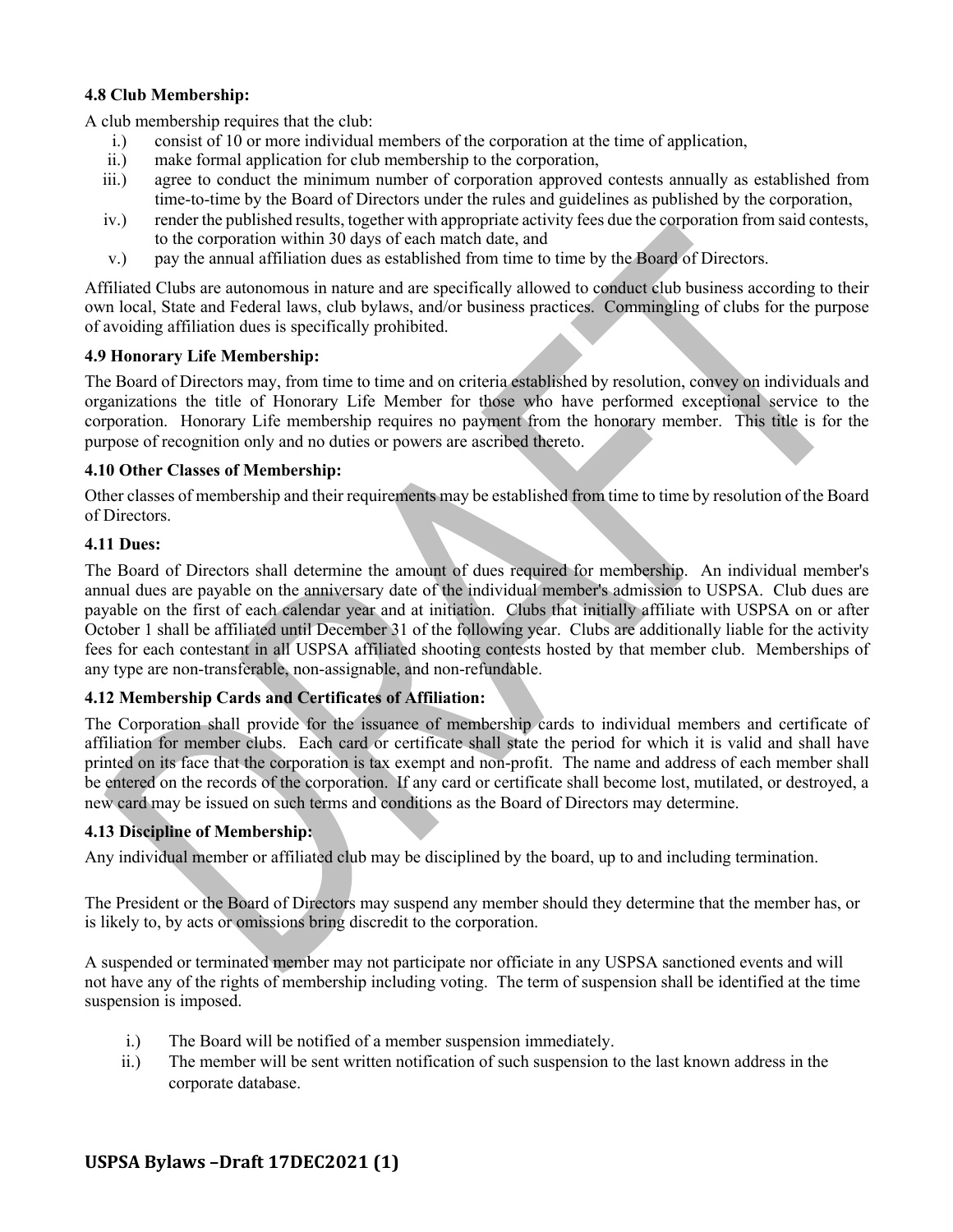### **4.8 Club Membership:**

A club membership requires that the club:

- i.) consist of 10 or more individual members of the corporation at the time of application,
- ii.) make formal application for club membership to the corporation,
- iii.) agree to conduct the minimum number of corporation approved contests annually as established from time-to-time by the Board of Directors under the rules and guidelines as published by the corporation,
- iv.) render the published results, together with appropriate activity fees due the corporation from said contests, to the corporation within 30 days of each match date, and
- v.) pay the annual affiliation dues as established from time to time by the Board of Directors.

Affiliated Clubs are autonomous in nature and are specifically allowed to conduct club business according to their own local, State and Federal laws, club bylaws, and/or business practices. Commingling of clubs for the purpose of avoiding affiliation dues is specifically prohibited.

#### **4.9 Honorary Life Membership:**

The Board of Directors may, from time to time and on criteria established by resolution, convey on individuals and organizations the title of Honorary Life Member for those who have performed exceptional service to the corporation. Honorary Life membership requires no payment from the honorary member. This title is for the purpose of recognition only and no duties or powers are ascribed thereto.

#### **4.10 Other Classes of Membership:**

Other classes of membership and their requirements may be established from time to time by resolution of the Board of Directors.

### **4.11 Dues:**

The Board of Directors shall determine the amount of dues required for membership. An individual member's annual dues are payable on the anniversary date of the individual member's admission to USPSA. Club dues are payable on the first of each calendar year and at initiation. Clubs that initially affiliate with USPSA on or after October 1 shall be affiliated until December 31 of the following year. Clubs are additionally liable for the activity fees for each contestant in all USPSA affiliated shooting contests hosted by that member club. Memberships of any type are non-transferable, non-assignable, and non-refundable.

# **4.12 Membership Cards and Certificates of Affiliation:**

The Corporation shall provide for the issuance of membership cards to individual members and certificate of affiliation for member clubs. Each card or certificate shall state the period for which it is valid and shall have printed on its face that the corporation is tax exempt and non-profit. The name and address of each member shall be entered on the records of the corporation. If any card or certificate shall become lost, mutilated, or destroyed, a new card may be issued on such terms and conditions as the Board of Directors may determine.

#### **4.13 Discipline of Membership:**

Any individual member or affiliated club may be disciplined by the board, up to and including termination.

The President or the Board of Directors may suspend any member should they determine that the member has, or is likely to, by acts or omissions bring discredit to the corporation.

A suspended or terminated member may not participate nor officiate in any USPSA sanctioned events and will not have any of the rights of membership including voting. The term of suspension shall be identified at the time suspension is imposed.

- i.) The Board will be notified of a member suspension immediately.
- ii.) The member will be sent written notification of such suspension to the last known address in the corporate database.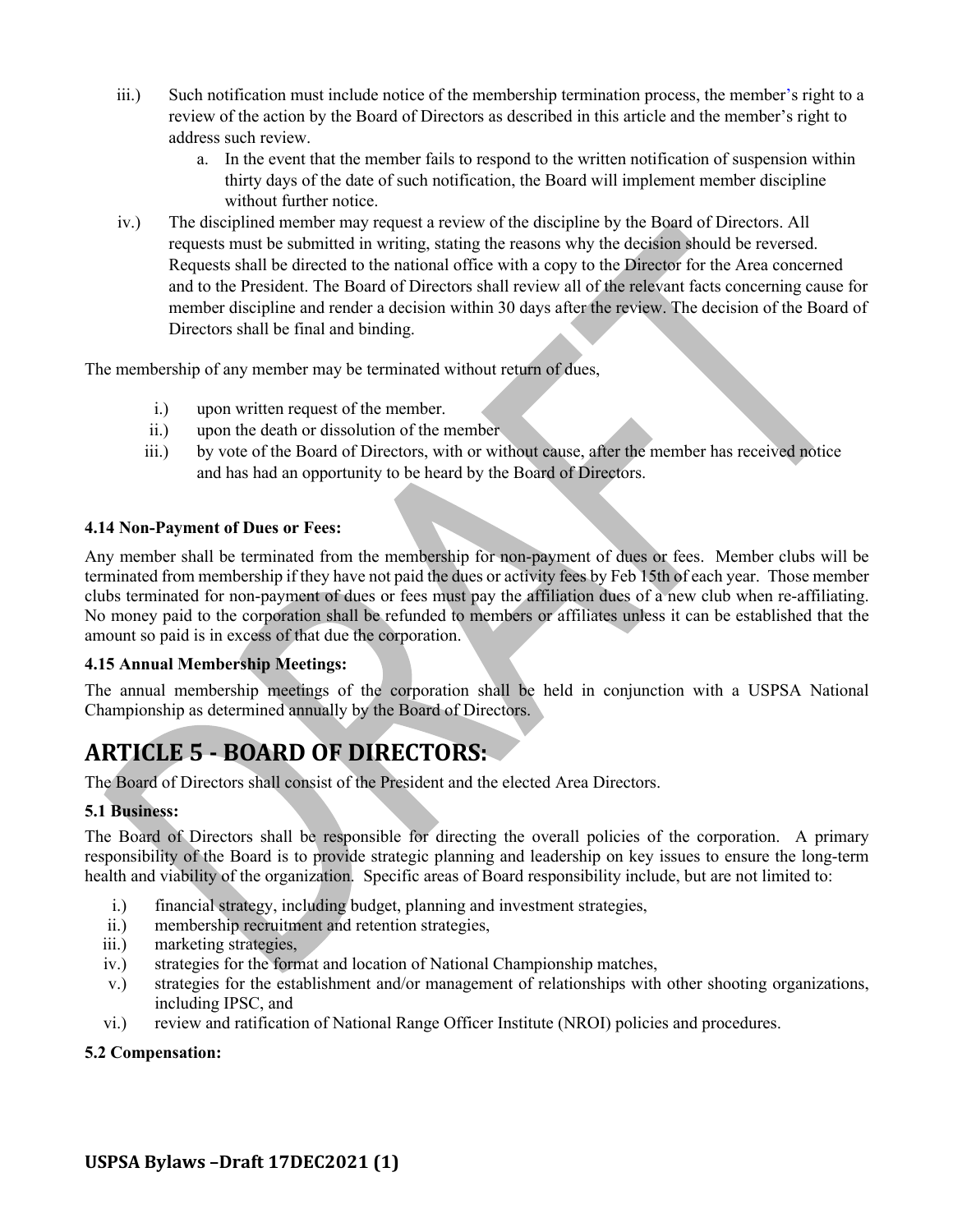- iii.) Such notification must include notice of the membership termination process, the member's right to a review of the action by the Board of Directors as described in this article and the member's right to address such review.
	- a. In the event that the member fails to respond to the written notification of suspension within thirty days of the date of such notification, the Board will implement member discipline without further notice.
- iv.) The disciplined member may request a review of the discipline by the Board of Directors. All requests must be submitted in writing, stating the reasons why the decision should be reversed. Requests shall be directed to the national office with a copy to the Director for the Area concerned and to the President. The Board of Directors shall review all of the relevant facts concerning cause for member discipline and render a decision within 30 days after the review. The decision of the Board of Directors shall be final and binding.

The membership of any member may be terminated without return of dues,

- i.) upon written request of the member.
- ii.) upon the death or dissolution of the member
- iii.) by vote of the Board of Directors, with or without cause, after the member has received notice and has had an opportunity to be heard by the Board of Directors.

### **4.14 Non-Payment of Dues or Fees:**

Any member shall be terminated from the membership for non-payment of dues or fees. Member clubs will be terminated from membership if they have not paid the dues or activity fees by Feb 15th of each year. Those member clubs terminated for non-payment of dues or fees must pay the affiliation dues of a new club when re-affiliating. No money paid to the corporation shall be refunded to members or affiliates unless it can be established that the amount so paid is in excess of that due the corporation.

#### **4.15 Annual Membership Meetings:**

The annual membership meetings of the corporation shall be held in conjunction with a USPSA National Championship as determined annually by the Board of Directors.

# **ARTICLE 5 - BOARD OF DIRECTORS:**

The Board of Directors shall consist of the President and the elected Area Directors.

# **5.1 Business:**

The Board of Directors shall be responsible for directing the overall policies of the corporation. A primary responsibility of the Board is to provide strategic planning and leadership on key issues to ensure the long-term health and viability of the organization. Specific areas of Board responsibility include, but are not limited to:

- i.) financial strategy, including budget, planning and investment strategies,
- ii.) membership recruitment and retention strategies,
- iii.) marketing strategies,
- iv.) strategies for the format and location of National Championship matches,
- v.) strategies for the establishment and/or management of relationships with other shooting organizations, including IPSC, and
- vi.) review and ratification of National Range Officer Institute (NROI) policies and procedures.

#### **5.2 Compensation:**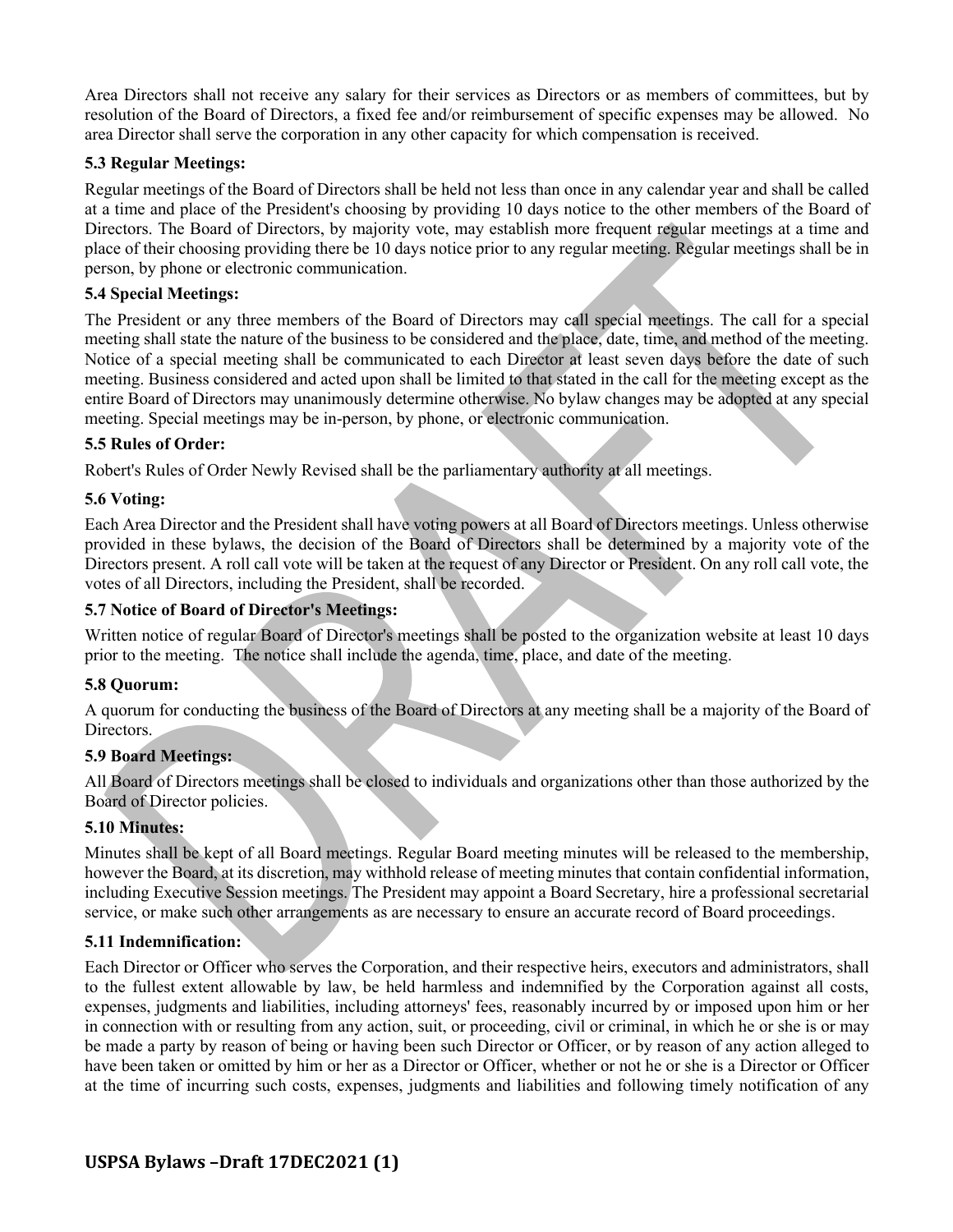Area Directors shall not receive any salary for their services as Directors or as members of committees, but by resolution of the Board of Directors, a fixed fee and/or reimbursement of specific expenses may be allowed. No area Director shall serve the corporation in any other capacity for which compensation is received.

### **5.3 Regular Meetings:**

Regular meetings of the Board of Directors shall be held not less than once in any calendar year and shall be called at a time and place of the President's choosing by providing 10 days notice to the other members of the Board of Directors. The Board of Directors, by majority vote, may establish more frequent regular meetings at a time and place of their choosing providing there be 10 days notice prior to any regular meeting. Regular meetings shall be in person, by phone or electronic communication.

#### **5.4 Special Meetings:**

The President or any three members of the Board of Directors may call special meetings. The call for a special meeting shall state the nature of the business to be considered and the place, date, time, and method of the meeting. Notice of a special meeting shall be communicated to each Director at least seven days before the date of such meeting. Business considered and acted upon shall be limited to that stated in the call for the meeting except as the entire Board of Directors may unanimously determine otherwise. No bylaw changes may be adopted at any special meeting. Special meetings may be in-person, by phone, or electronic communication.

### **5.5 Rules of Order:**

Robert's Rules of Order Newly Revised shall be the parliamentary authority at all meetings.

### **5.6 Voting:**

Each Area Director and the President shall have voting powers at all Board of Directors meetings. Unless otherwise provided in these bylaws, the decision of the Board of Directors shall be determined by a majority vote of the Directors present. A roll call vote will be taken at the request of any Director or President. On any roll call vote, the votes of all Directors, including the President, shall be recorded.

### **5.7 Notice of Board of Director's Meetings:**

Written notice of regular Board of Director's meetings shall be posted to the organization website at least 10 days prior to the meeting. The notice shall include the agenda, time, place, and date of the meeting.

#### **5.8 Quorum:**

A quorum for conducting the business of the Board of Directors at any meeting shall be a majority of the Board of Directors.

#### **5.9 Board Meetings:**

All Board of Directors meetings shall be closed to individuals and organizations other than those authorized by the Board of Director policies.

#### **5.10 Minutes:**

Minutes shall be kept of all Board meetings. Regular Board meeting minutes will be released to the membership, however the Board, at its discretion, may withhold release of meeting minutes that contain confidential information, including Executive Session meetings. The President may appoint a Board Secretary, hire a professional secretarial service, or make such other arrangements as are necessary to ensure an accurate record of Board proceedings.

#### **5.11 Indemnification:**

Each Director or Officer who serves the Corporation, and their respective heirs, executors and administrators, shall to the fullest extent allowable by law, be held harmless and indemnified by the Corporation against all costs, expenses, judgments and liabilities, including attorneys' fees, reasonably incurred by or imposed upon him or her in connection with or resulting from any action, suit, or proceeding, civil or criminal, in which he or she is or may be made a party by reason of being or having been such Director or Officer, or by reason of any action alleged to have been taken or omitted by him or her as a Director or Officer, whether or not he or she is a Director or Officer at the time of incurring such costs, expenses, judgments and liabilities and following timely notification of any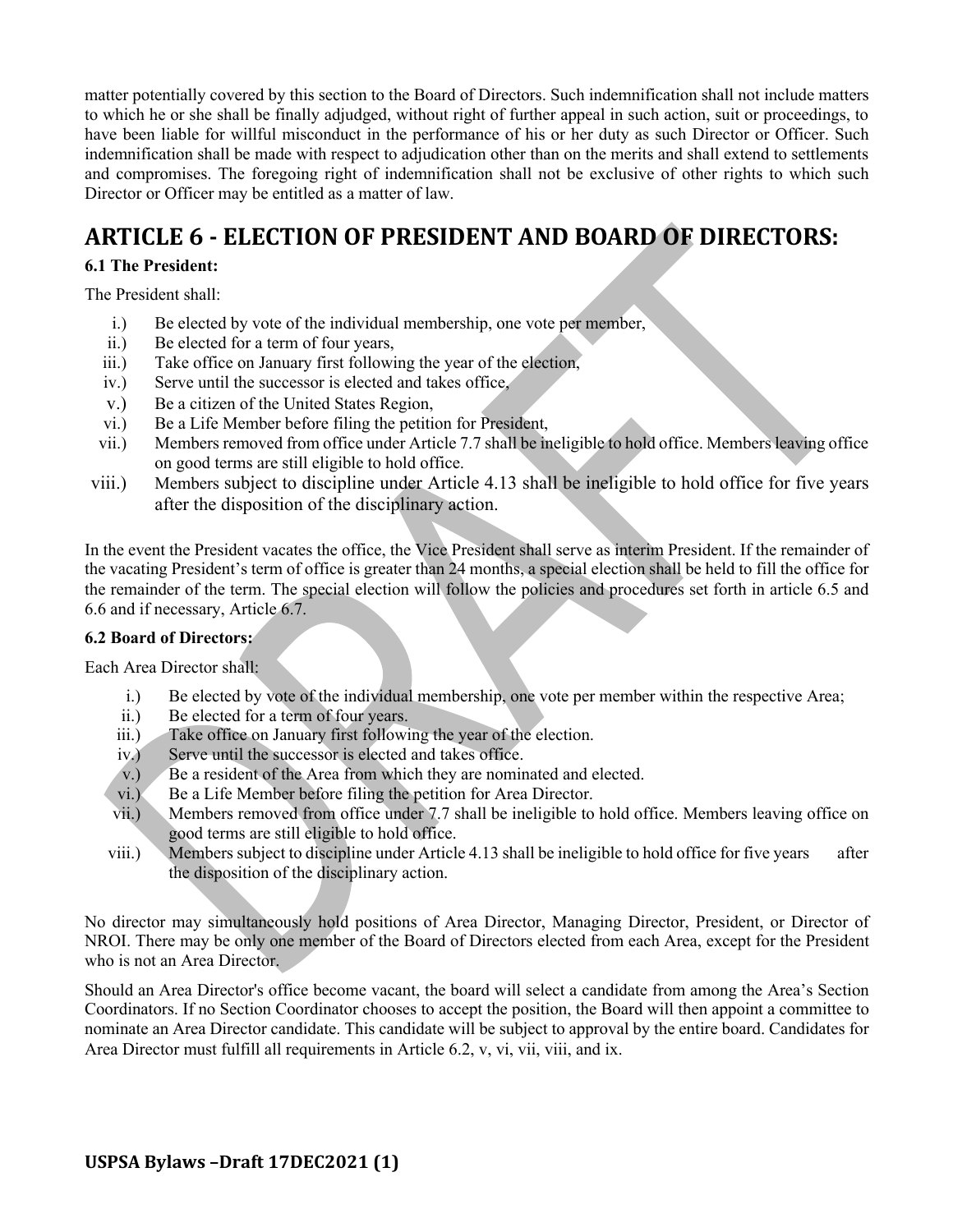matter potentially covered by this section to the Board of Directors. Such indemnification shall not include matters to which he or she shall be finally adjudged, without right of further appeal in such action, suit or proceedings, to have been liable for willful misconduct in the performance of his or her duty as such Director or Officer. Such indemnification shall be made with respect to adjudication other than on the merits and shall extend to settlements and compromises. The foregoing right of indemnification shall not be exclusive of other rights to which such Director or Officer may be entitled as a matter of law.

# **ARTICLE 6 - ELECTION OF PRESIDENT AND BOARD OF DIRECTORS:**

# **6.1 The President:**

The President shall:

- i.) Be elected by vote of the individual membership, one vote per member,
- ii.) Be elected for a term of four years,
- iii.) Take office on January first following the year of the election,
- iv.) Serve until the successor is elected and takes office,
- v.) Be a citizen of the United States Region,
- vi.) Be a Life Member before filing the petition for President,
- vii.) Members removed from office under Article 7.7 shall be ineligible to hold office. Members leaving office on good terms are still eligible to hold office.
- viii.) Members subject to discipline under Article 4.13 shall be ineligible to hold office for five years after the disposition of the disciplinary action.

In the event the President vacates the office, the Vice President shall serve as interim President. If the remainder of the vacating President's term of office is greater than 24 months, a special election shall be held to fill the office for the remainder of the term. The special election will follow the policies and procedures set forth in article 6.5 and 6.6 and if necessary, Article 6.7.

# **6.2 Board of Directors:**

Each Area Director shall:

- i.) Be elected by vote of the individual membership, one vote per member within the respective Area;
- ii.) Be elected for a term of four years.
- iii.) Take office on January first following the year of the election.
- iv.) Serve until the successor is elected and takes office.
- v.) Be a resident of the Area from which they are nominated and elected.
- vi.) Be a Life Member before filing the petition for Area Director.
- vii.) Members removed from office under 7.7 shall be ineligible to hold office. Members leaving office on good terms are still eligible to hold office.
- viii.) Members subject to discipline under Article 4.13 shall be ineligible to hold office for five years after the disposition of the disciplinary action.

No director may simultaneously hold positions of Area Director, Managing Director, President, or Director of NROI. There may be only one member of the Board of Directors elected from each Area, except for the President who is not an Area Director.

Should an Area Director's office become vacant, the board will select a candidate from among the Area's Section Coordinators. If no Section Coordinator chooses to accept the position, the Board will then appoint a committee to nominate an Area Director candidate. This candidate will be subject to approval by the entire board. Candidates for Area Director must fulfill all requirements in Article 6.2, v, vi, vii, viii, and ix.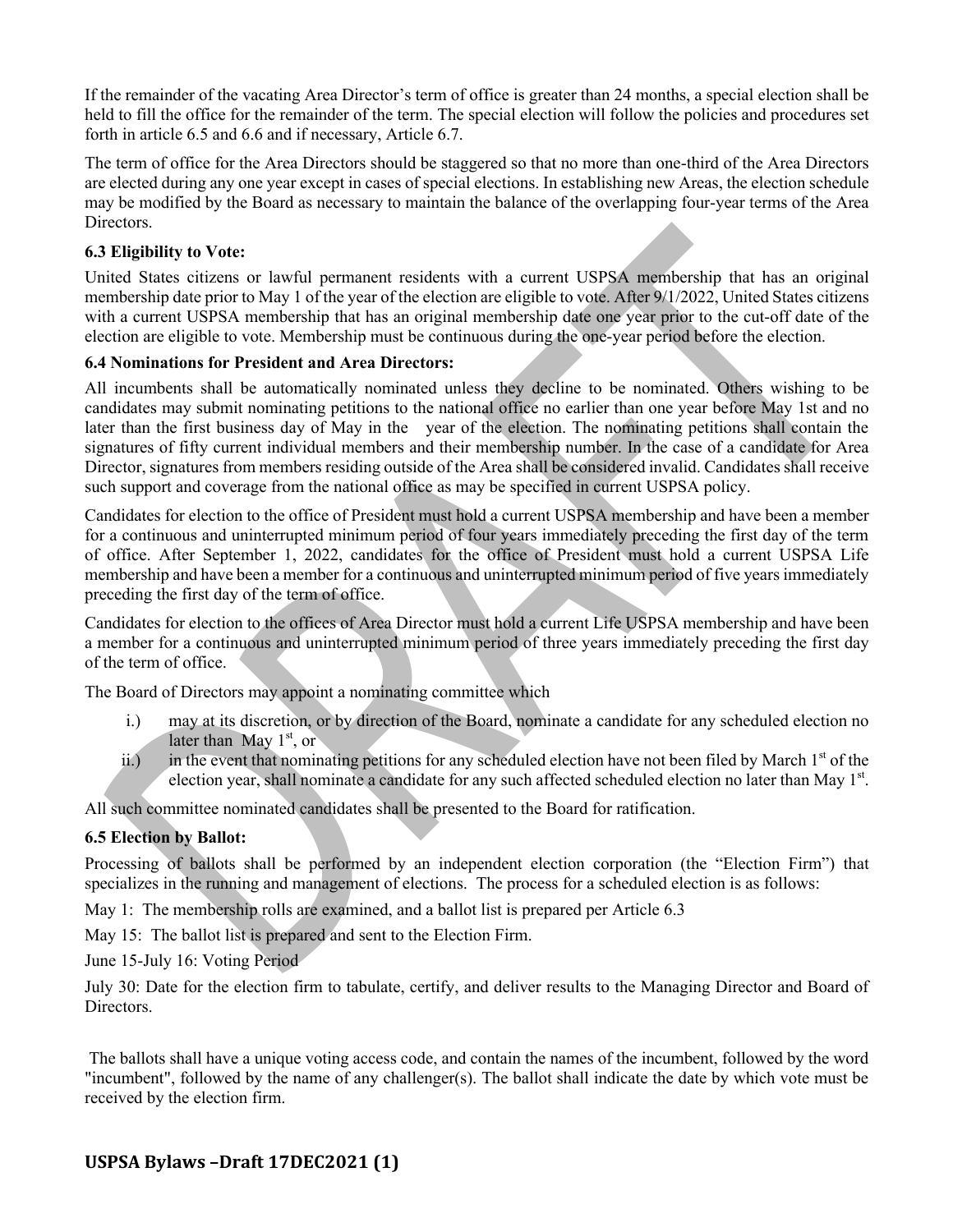If the remainder of the vacating Area Director's term of office is greater than 24 months, a special election shall be held to fill the office for the remainder of the term. The special election will follow the policies and procedures set forth in article 6.5 and 6.6 and if necessary, Article 6.7.

The term of office for the Area Directors should be staggered so that no more than one-third of the Area Directors are elected during any one year except in cases of special elections. In establishing new Areas, the election schedule may be modified by the Board as necessary to maintain the balance of the overlapping four-year terms of the Area Directors.

### **6.3 Eligibility to Vote:**

United States citizens or lawful permanent residents with a current USPSA membership that has an original membership date prior to May 1 of the year of the election are eligible to vote. After 9/1/2022, United States citizens with a current USPSA membership that has an original membership date one year prior to the cut-off date of the election are eligible to vote. Membership must be continuous during the one-year period before the election.

#### **6.4 Nominations for President and Area Directors:**

All incumbents shall be automatically nominated unless they decline to be nominated. Others wishing to be candidates may submit nominating petitions to the national office no earlier than one year before May 1st and no later than the first business day of May in the year of the election. The nominating petitions shall contain the signatures of fifty current individual members and their membership number. In the case of a candidate for Area Director, signatures from members residing outside of the Area shall be considered invalid. Candidates shall receive such support and coverage from the national office as may be specified in current USPSA policy.

Candidates for election to the office of President must hold a current USPSA membership and have been a member for a continuous and uninterrupted minimum period of four years immediately preceding the first day of the term of office. After September 1, 2022, candidates for the office of President must hold a current USPSA Life membership and have been a member for a continuous and uninterrupted minimum period of five years immediately preceding the first day of the term of office.

Candidates for election to the offices of Area Director must hold a current Life USPSA membership and have been a member for a continuous and uninterrupted minimum period of three years immediately preceding the first day of the term of office.

The Board of Directors may appoint a nominating committee which

- i.) may at its discretion, or by direction of the Board, nominate a candidate for any scheduled election no later than May  $1<sup>st</sup>$ , or
- ii.) in the event that nominating petitions for any scheduled election have not been filed by March  $1<sup>st</sup>$  of the election year, shall nominate a candidate for any such affected scheduled election no later than May 1<sup>st</sup>.

All such committee nominated candidates shall be presented to the Board for ratification.

# **6.5 Election by Ballot:**

Processing of ballots shall be performed by an independent election corporation (the "Election Firm") that specializes in the running and management of elections. The process for a scheduled election is as follows:

May 1: The membership rolls are examined, and a ballot list is prepared per Article 6.3

May 15: The ballot list is prepared and sent to the Election Firm.

June 15-July 16: Voting Period

July 30: Date for the election firm to tabulate, certify, and deliver results to the Managing Director and Board of Directors.

The ballots shall have a unique voting access code, and contain the names of the incumbent, followed by the word "incumbent", followed by the name of any challenger(s). The ballot shall indicate the date by which vote must be received by the election firm.

# **USPSA Bylaws -Draft 17DEC2021 (1)**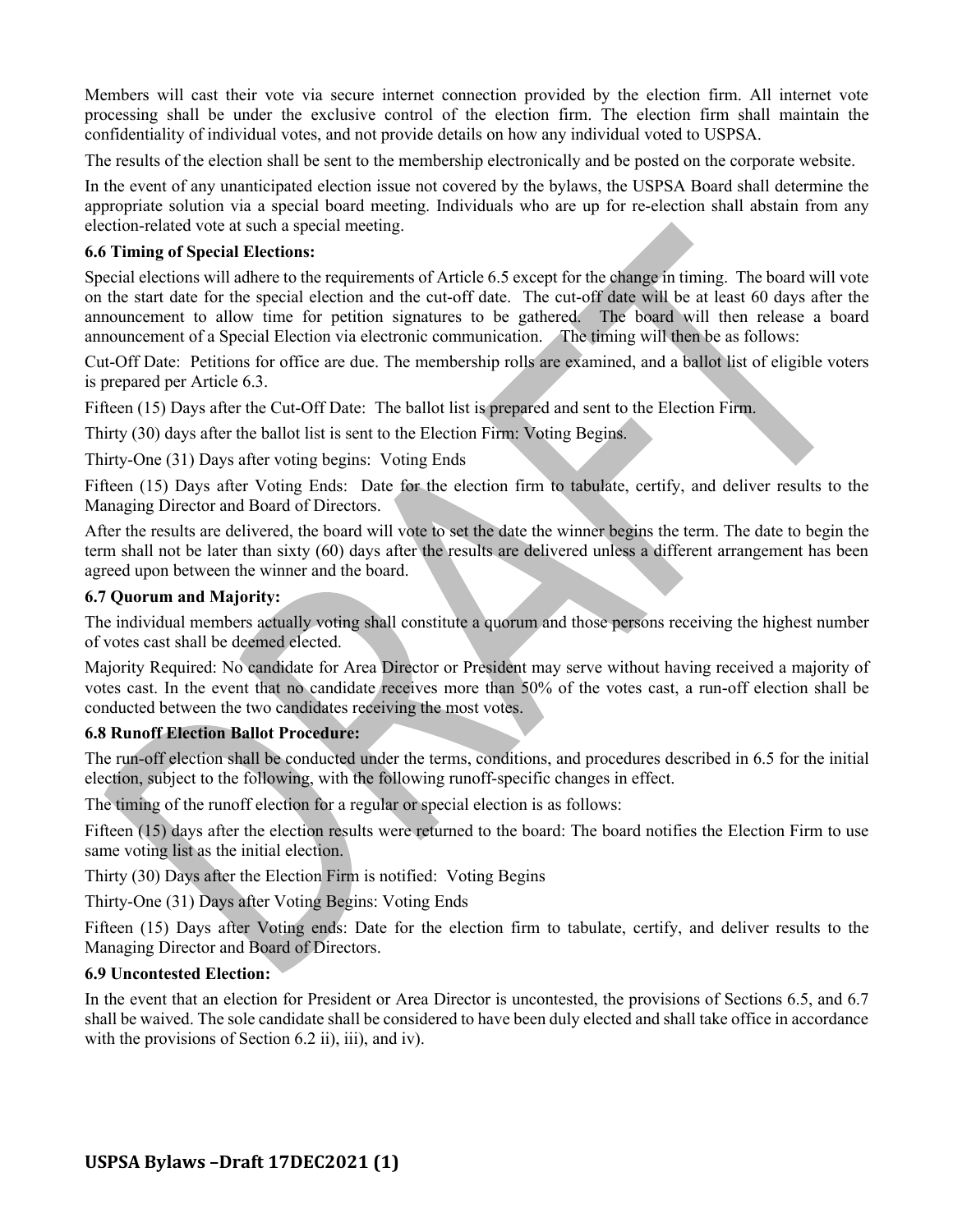Members will cast their vote via secure internet connection provided by the election firm. All internet vote processing shall be under the exclusive control of the election firm. The election firm shall maintain the confidentiality of individual votes, and not provide details on how any individual voted to USPSA.

The results of the election shall be sent to the membership electronically and be posted on the corporate website.

In the event of any unanticipated election issue not covered by the bylaws, the USPSA Board shall determine the appropriate solution via a special board meeting. Individuals who are up for re-election shall abstain from any election-related vote at such a special meeting.

#### **6.6 Timing of Special Elections:**

Special elections will adhere to the requirements of Article 6.5 except for the change in timing. The board will vote on the start date for the special election and the cut-off date. The cut-off date will be at least 60 days after the announcement to allow time for petition signatures to be gathered. The board will then release a board announcement of a Special Election via electronic communication. The timing will then be as follows:

Cut-Off Date: Petitions for office are due. The membership rolls are examined, and a ballot list of eligible voters is prepared per Article 6.3.

Fifteen (15) Days after the Cut-Off Date: The ballot list is prepared and sent to the Election Firm.

Thirty (30) days after the ballot list is sent to the Election Firm: Voting Begins.

Thirty-One (31) Days after voting begins: Voting Ends

Fifteen (15) Days after Voting Ends: Date for the election firm to tabulate, certify, and deliver results to the Managing Director and Board of Directors.

After the results are delivered, the board will vote to set the date the winner begins the term. The date to begin the term shall not be later than sixty (60) days after the results are delivered unless a different arrangement has been agreed upon between the winner and the board.

### **6.7 Quorum and Majority:**

The individual members actually voting shall constitute a quorum and those persons receiving the highest number of votes cast shall be deemed elected.

Majority Required: No candidate for Area Director or President may serve without having received a majority of votes cast. In the event that no candidate receives more than 50% of the votes cast, a run-off election shall be conducted between the two candidates receiving the most votes.

#### **6.8 Runoff Election Ballot Procedure:**

The run-off election shall be conducted under the terms, conditions, and procedures described in 6.5 for the initial election, subject to the following, with the following runoff-specific changes in effect.

The timing of the runoff election for a regular or special election is as follows:

Fifteen (15) days after the election results were returned to the board: The board notifies the Election Firm to use same voting list as the initial election.

Thirty (30) Days after the Election Firm is notified: Voting Begins

Thirty-One (31) Days after Voting Begins: Voting Ends

Fifteen (15) Days after Voting ends: Date for the election firm to tabulate, certify, and deliver results to the Managing Director and Board of Directors.

#### **6.9 Uncontested Election:**

In the event that an election for President or Area Director is uncontested, the provisions of Sections 6.5, and 6.7 shall be waived. The sole candidate shall be considered to have been duly elected and shall take office in accordance with the provisions of Section 6.2 ii), iii), and iv).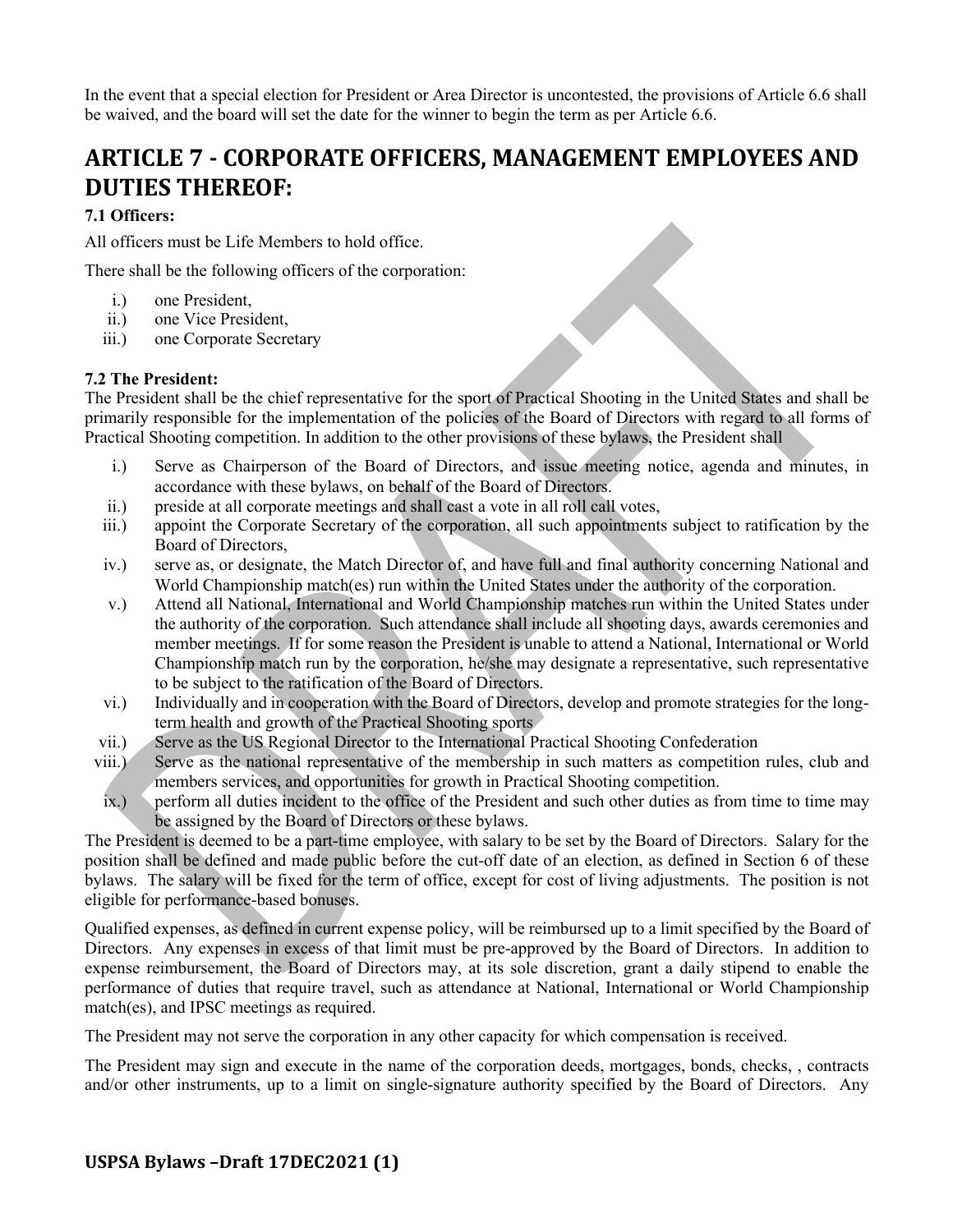In the event that a special election for President or Area Director is uncontested, the provisions of Article 6.6 shall be waived, and the board will set the date for the winner to begin the term as per Article 6.6.

# **ARTICLE 7 - CORPORATE OFFICERS, MANAGEMENT EMPLOYEES AND DUTIES THEREOF:**

# **7.1 Officers:**

All officers must be Life Members to hold office.

There shall be the following officers of the corporation:

- i.) one President,
- ii.) one Vice President,
- iii.) one Corporate Secretary

### **7.2 The President:**

The President shall be the chief representative for the sport of Practical Shooting in the United States and shall be primarily responsible for the implementation of the policies of the Board of Directors with regard to all forms of Practical Shooting competition. In addition to the other provisions of these bylaws, the President shall

- i.) Serve as Chairperson of the Board of Directors, and issue meeting notice, agenda and minutes, in accordance with these bylaws, on behalf of the Board of Directors.
- ii.) preside at all corporate meetings and shall cast a vote in all roll call votes,
- iii.) appoint the Corporate Secretary of the corporation, all such appointments subject to ratification by the Board of Directors,
- iv.) serve as, or designate, the Match Director of, and have full and final authority concerning National and World Championship match(es) run within the United States under the authority of the corporation.
- v.) Attend all National, International and World Championship matches run within the United States under the authority of the corporation. Such attendance shall include all shooting days, awards ceremonies and member meetings. If for some reason the President is unable to attend a National, International or World Championship match run by the corporation, he/she may designate a representative, such representative to be subject to the ratification of the Board of Directors.
- vi.) Individually and in cooperation with the Board of Directors, develop and promote strategies for the longterm health and growth of the Practical Shooting sports
- vii.) Serve as the US Regional Director to the International Practical Shooting Confederation
- viii.) Serve as the national representative of the membership in such matters as competition rules, club and members services, and opportunities for growth in Practical Shooting competition.
- ix.) perform all duties incident to the office of the President and such other duties as from time to time may be assigned by the Board of Directors or these bylaws.

The President is deemed to be a part-time employee, with salary to be set by the Board of Directors. Salary for the position shall be defined and made public before the cut-off date of an election, as defined in Section 6 of these bylaws. The salary will be fixed for the term of office, except for cost of living adjustments. The position is not eligible for performance-based bonuses.

Qualified expenses, as defined in current expense policy, will be reimbursed up to a limit specified by the Board of Directors. Any expenses in excess of that limit must be pre-approved by the Board of Directors. In addition to expense reimbursement, the Board of Directors may, at its sole discretion, grant a daily stipend to enable the performance of duties that require travel, such as attendance at National, International or World Championship match(es), and IPSC meetings as required.

The President may not serve the corporation in any other capacity for which compensation is received.

The President may sign and execute in the name of the corporation deeds, mortgages, bonds, checks, , contracts and/or other instruments, up to a limit on single-signature authority specified by the Board of Directors. Any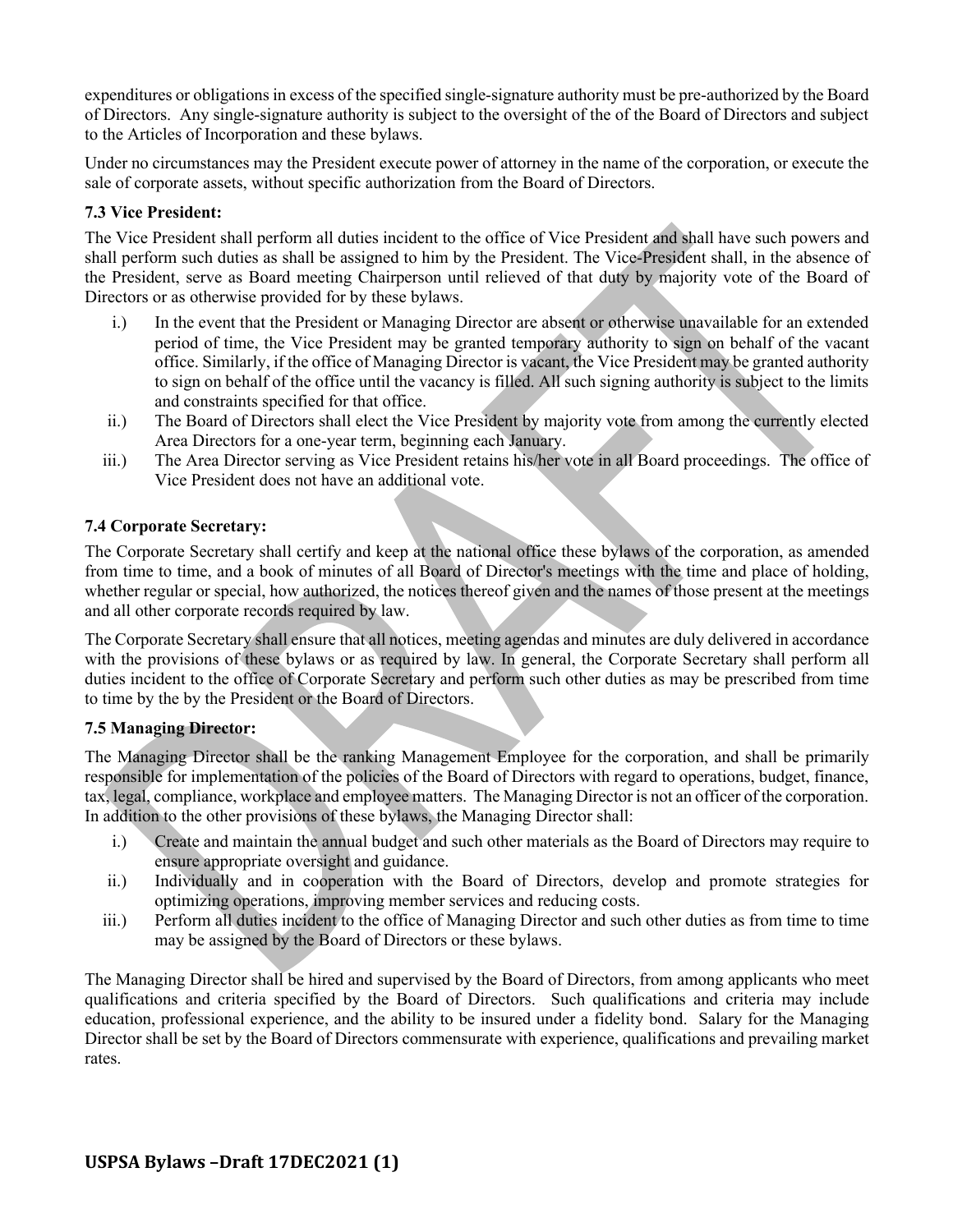expenditures or obligations in excess of the specified single-signature authority must be pre-authorized by the Board of Directors. Any single-signature authority is subject to the oversight of the of the Board of Directors and subject to the Articles of Incorporation and these bylaws.

Under no circumstances may the President execute power of attorney in the name of the corporation, or execute the sale of corporate assets, without specific authorization from the Board of Directors.

### **7.3 Vice President:**

The Vice President shall perform all duties incident to the office of Vice President and shall have such powers and shall perform such duties as shall be assigned to him by the President. The Vice-President shall, in the absence of the President, serve as Board meeting Chairperson until relieved of that duty by majority vote of the Board of Directors or as otherwise provided for by these bylaws.

- i.) In the event that the President or Managing Director are absent or otherwise unavailable for an extended period of time, the Vice President may be granted temporary authority to sign on behalf of the vacant office. Similarly, if the office of Managing Director is vacant, the Vice President may be granted authority to sign on behalf of the office until the vacancy is filled. All such signing authority is subject to the limits and constraints specified for that office.
- ii.) The Board of Directors shall elect the Vice President by majority vote from among the currently elected Area Directors for a one-year term, beginning each January.
- iii.) The Area Director serving as Vice President retains his/her vote in all Board proceedings. The office of Vice President does not have an additional vote.

### **7.4 Corporate Secretary:**

The Corporate Secretary shall certify and keep at the national office these bylaws of the corporation, as amended from time to time, and a book of minutes of all Board of Director's meetings with the time and place of holding, whether regular or special, how authorized, the notices thereof given and the names of those present at the meetings and all other corporate records required by law.

The Corporate Secretary shall ensure that all notices, meeting agendas and minutes are duly delivered in accordance with the provisions of these bylaws or as required by law. In general, the Corporate Secretary shall perform all duties incident to the office of Corporate Secretary and perform such other duties as may be prescribed from time to time by the by the President or the Board of Directors.

#### **7.5 Managing Director:**

The Managing Director shall be the ranking Management Employee for the corporation, and shall be primarily responsible for implementation of the policies of the Board of Directors with regard to operations, budget, finance, tax, legal, compliance, workplace and employee matters. The Managing Director is not an officer of the corporation. In addition to the other provisions of these bylaws, the Managing Director shall:

- i.) Create and maintain the annual budget and such other materials as the Board of Directors may require to ensure appropriate oversight and guidance.
- ii.) Individually and in cooperation with the Board of Directors, develop and promote strategies for optimizing operations, improving member services and reducing costs.
- iii.) Perform all duties incident to the office of Managing Director and such other duties as from time to time may be assigned by the Board of Directors or these bylaws.

The Managing Director shall be hired and supervised by the Board of Directors, from among applicants who meet qualifications and criteria specified by the Board of Directors. Such qualifications and criteria may include education, professional experience, and the ability to be insured under a fidelity bond. Salary for the Managing Director shall be set by the Board of Directors commensurate with experience, qualifications and prevailing market rates.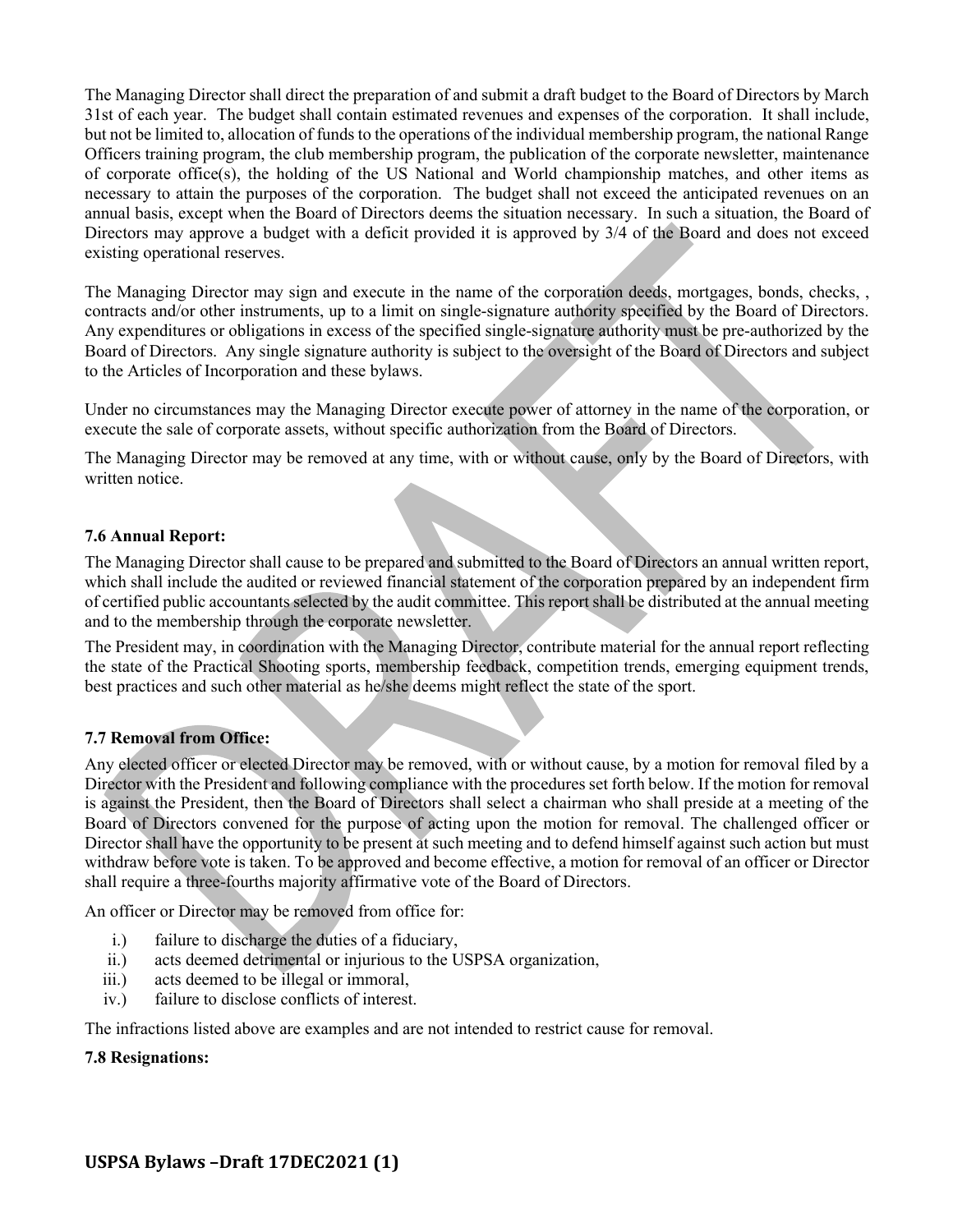The Managing Director shall direct the preparation of and submit a draft budget to the Board of Directors by March 31st of each year. The budget shall contain estimated revenues and expenses of the corporation. It shall include, but not be limited to, allocation of funds to the operations of the individual membership program, the national Range Officers training program, the club membership program, the publication of the corporate newsletter, maintenance of corporate office(s), the holding of the US National and World championship matches, and other items as necessary to attain the purposes of the corporation. The budget shall not exceed the anticipated revenues on an annual basis, except when the Board of Directors deems the situation necessary. In such a situation, the Board of Directors may approve a budget with a deficit provided it is approved by 3/4 of the Board and does not exceed existing operational reserves.

The Managing Director may sign and execute in the name of the corporation deeds, mortgages, bonds, checks, , contracts and/or other instruments, up to a limit on single-signature authority specified by the Board of Directors. Any expenditures or obligations in excess of the specified single-signature authority must be pre-authorized by the Board of Directors. Any single signature authority is subject to the oversight of the Board of Directors and subject to the Articles of Incorporation and these bylaws.

Under no circumstances may the Managing Director execute power of attorney in the name of the corporation, or execute the sale of corporate assets, without specific authorization from the Board of Directors.

The Managing Director may be removed at any time, with or without cause, only by the Board of Directors, with written notice.

### **7.6 Annual Report:**

The Managing Director shall cause to be prepared and submitted to the Board of Directors an annual written report, which shall include the audited or reviewed financial statement of the corporation prepared by an independent firm of certified public accountants selected by the audit committee. This report shall be distributed at the annual meeting and to the membership through the corporate newsletter.

The President may, in coordination with the Managing Director, contribute material for the annual report reflecting the state of the Practical Shooting sports, membership feedback, competition trends, emerging equipment trends, best practices and such other material as he/she deems might reflect the state of the sport.

#### **7.7 Removal from Office:**

Any elected officer or elected Director may be removed, with or without cause, by a motion for removal filed by a Director with the President and following compliance with the procedures set forth below. If the motion for removal is against the President, then the Board of Directors shall select a chairman who shall preside at a meeting of the Board of Directors convened for the purpose of acting upon the motion for removal. The challenged officer or Director shall have the opportunity to be present at such meeting and to defend himself against such action but must withdraw before vote is taken. To be approved and become effective, a motion for removal of an officer or Director shall require a three-fourths majority affirmative vote of the Board of Directors.

An officer or Director may be removed from office for:

- i.) failure to discharge the duties of a fiduciary,
- ii.) acts deemed detrimental or injurious to the USPSA organization,
- iii.) acts deemed to be illegal or immoral,
- iv.) failure to disclose conflicts of interest.

The infractions listed above are examples and are not intended to restrict cause for removal.

#### **7.8 Resignations:**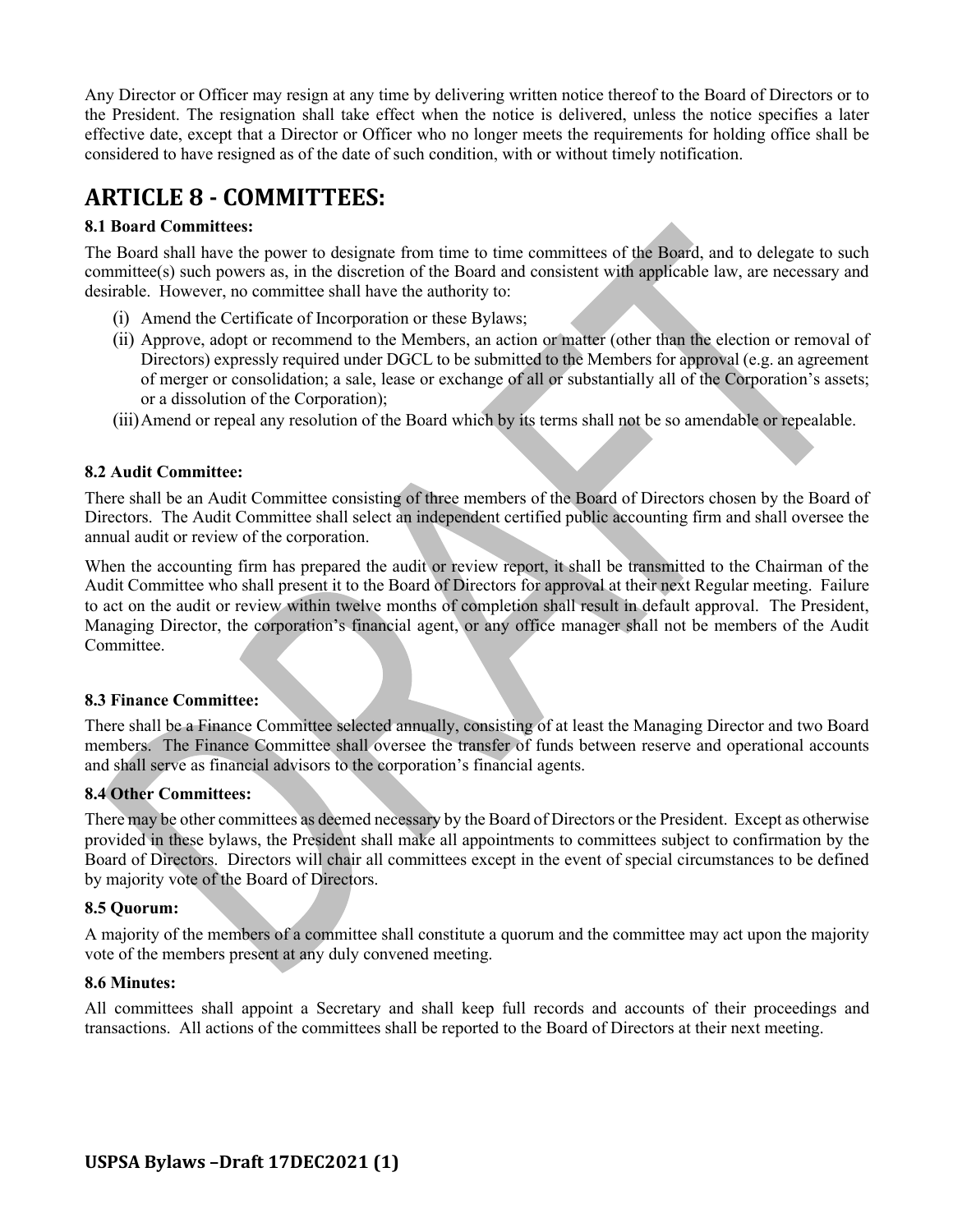Any Director or Officer may resign at any time by delivering written notice thereof to the Board of Directors or to the President. The resignation shall take effect when the notice is delivered, unless the notice specifies a later effective date, except that a Director or Officer who no longer meets the requirements for holding office shall be considered to have resigned as of the date of such condition, with or without timely notification.

# **ARTICLE 8 - COMMITTEES:**

# **8.1 Board Committees:**

The Board shall have the power to designate from time to time committees of the Board, and to delegate to such committee(s) such powers as, in the discretion of the Board and consistent with applicable law, are necessary and desirable. However, no committee shall have the authority to:

- (i) Amend the Certificate of Incorporation or these Bylaws;
- (ii) Approve, adopt or recommend to the Members, an action or matter (other than the election or removal of Directors) expressly required under DGCL to be submitted to the Members for approval (e.g. an agreement of merger or consolidation; a sale, lease or exchange of all or substantially all of the Corporation's assets; or a dissolution of the Corporation);
- (iii)Amend or repeal any resolution of the Board which by its terms shall not be so amendable or repealable.

#### **8.2 Audit Committee:**

There shall be an Audit Committee consisting of three members of the Board of Directors chosen by the Board of Directors. The Audit Committee shall select an independent certified public accounting firm and shall oversee the annual audit or review of the corporation.

When the accounting firm has prepared the audit or review report, it shall be transmitted to the Chairman of the Audit Committee who shall present it to the Board of Directors for approval at their next Regular meeting. Failure to act on the audit or review within twelve months of completion shall result in default approval. The President, Managing Director, the corporation's financial agent, or any office manager shall not be members of the Audit Committee.

#### **8.3 Finance Committee:**

There shall be a Finance Committee selected annually, consisting of at least the Managing Director and two Board members. The Finance Committee shall oversee the transfer of funds between reserve and operational accounts and shall serve as financial advisors to the corporation's financial agents.

#### **8.4 Other Committees:**

There may be other committees as deemed necessary by the Board of Directors or the President. Except as otherwise provided in these bylaws, the President shall make all appointments to committees subject to confirmation by the Board of Directors. Directors will chair all committees except in the event of special circumstances to be defined by majority vote of the Board of Directors.

#### **8.5 Quorum:**

A majority of the members of a committee shall constitute a quorum and the committee may act upon the majority vote of the members present at any duly convened meeting.

#### **8.6 Minutes:**

All committees shall appoint a Secretary and shall keep full records and accounts of their proceedings and transactions. All actions of the committees shall be reported to the Board of Directors at their next meeting.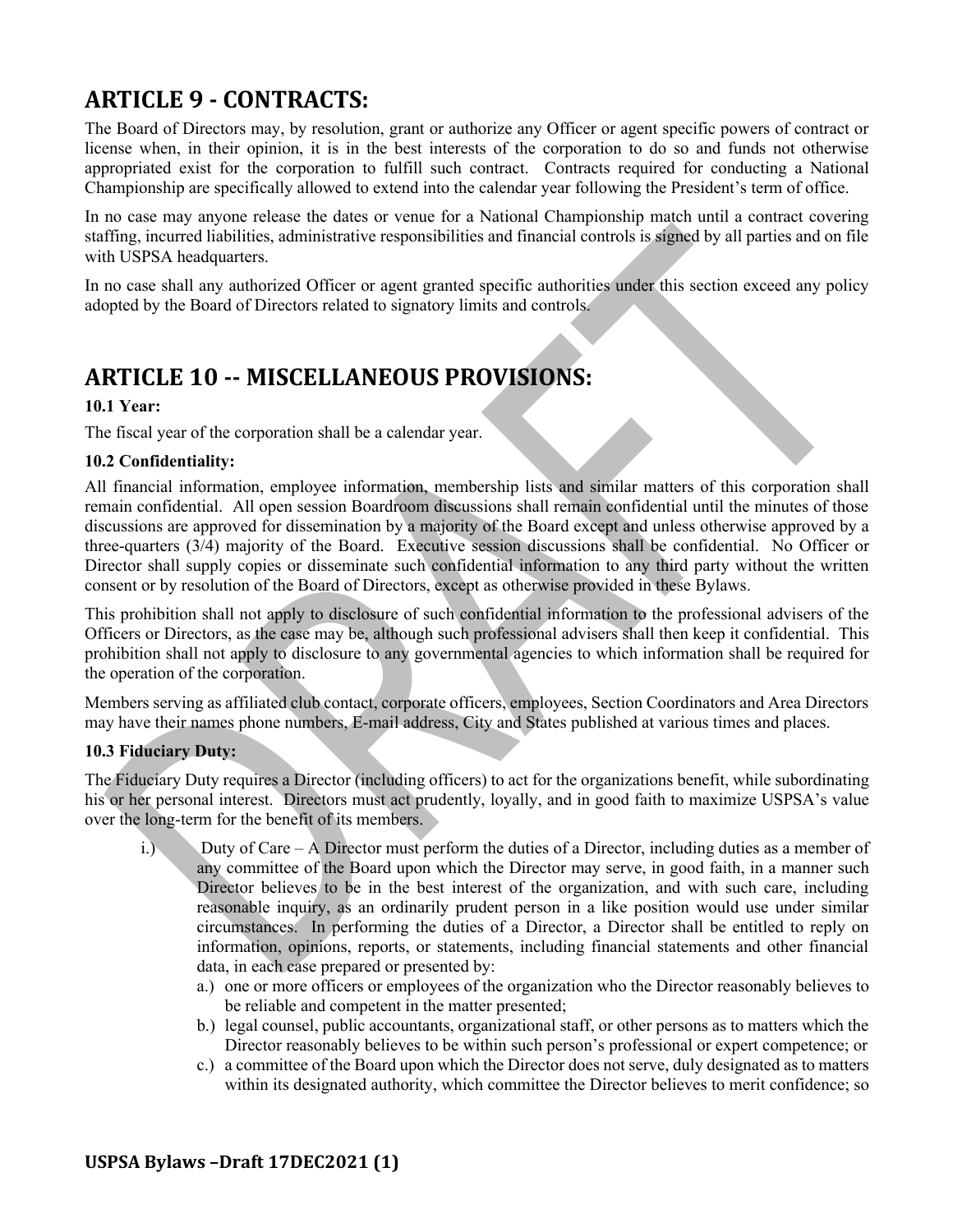# **ARTICLE 9 - CONTRACTS:**

The Board of Directors may, by resolution, grant or authorize any Officer or agent specific powers of contract or license when, in their opinion, it is in the best interests of the corporation to do so and funds not otherwise appropriated exist for the corporation to fulfill such contract. Contracts required for conducting a National Championship are specifically allowed to extend into the calendar year following the President's term of office.

In no case may anyone release the dates or venue for a National Championship match until a contract covering staffing, incurred liabilities, administrative responsibilities and financial controls is signed by all parties and on file with USPSA headquarters.

In no case shall any authorized Officer or agent granted specific authorities under this section exceed any policy adopted by the Board of Directors related to signatory limits and controls.

# **ARTICLE 10 -- MISCELLANEOUS PROVISIONS:**

# **10.1 Year:**

The fiscal year of the corporation shall be a calendar year.

# **10.2 Confidentiality:**

All financial information, employee information, membership lists and similar matters of this corporation shall remain confidential. All open session Boardroom discussions shall remain confidential until the minutes of those discussions are approved for dissemination by a majority of the Board except and unless otherwise approved by a three-quarters (3/4) majority of the Board. Executive session discussions shall be confidential. No Officer or Director shall supply copies or disseminate such confidential information to any third party without the written consent or by resolution of the Board of Directors, except as otherwise provided in these Bylaws.

This prohibition shall not apply to disclosure of such confidential information to the professional advisers of the Officers or Directors, as the case may be, although such professional advisers shall then keep it confidential. This prohibition shall not apply to disclosure to any governmental agencies to which information shall be required for the operation of the corporation.

Members serving as affiliated club contact, corporate officers, employees, Section Coordinators and Area Directors may have their names phone numbers, E-mail address, City and States published at various times and places.

# **10.3 Fiduciary Duty:**

The Fiduciary Duty requires a Director (including officers) to act for the organizations benefit, while subordinating his or her personal interest. Directors must act prudently, loyally, and in good faith to maximize USPSA's value over the long-term for the benefit of its members.

- i.) Duty of Care A Director must perform the duties of a Director, including duties as a member of any committee of the Board upon which the Director may serve, in good faith, in a manner such Director believes to be in the best interest of the organization, and with such care, including reasonable inquiry, as an ordinarily prudent person in a like position would use under similar circumstances. In performing the duties of a Director, a Director shall be entitled to reply on information, opinions, reports, or statements, including financial statements and other financial data, in each case prepared or presented by:
	- a.) one or more officers or employees of the organization who the Director reasonably believes to be reliable and competent in the matter presented;
	- b.) legal counsel, public accountants, organizational staff, or other persons as to matters which the Director reasonably believes to be within such person's professional or expert competence; or
	- c.) a committee of the Board upon which the Director does not serve, duly designated as to matters within its designated authority, which committee the Director believes to merit confidence; so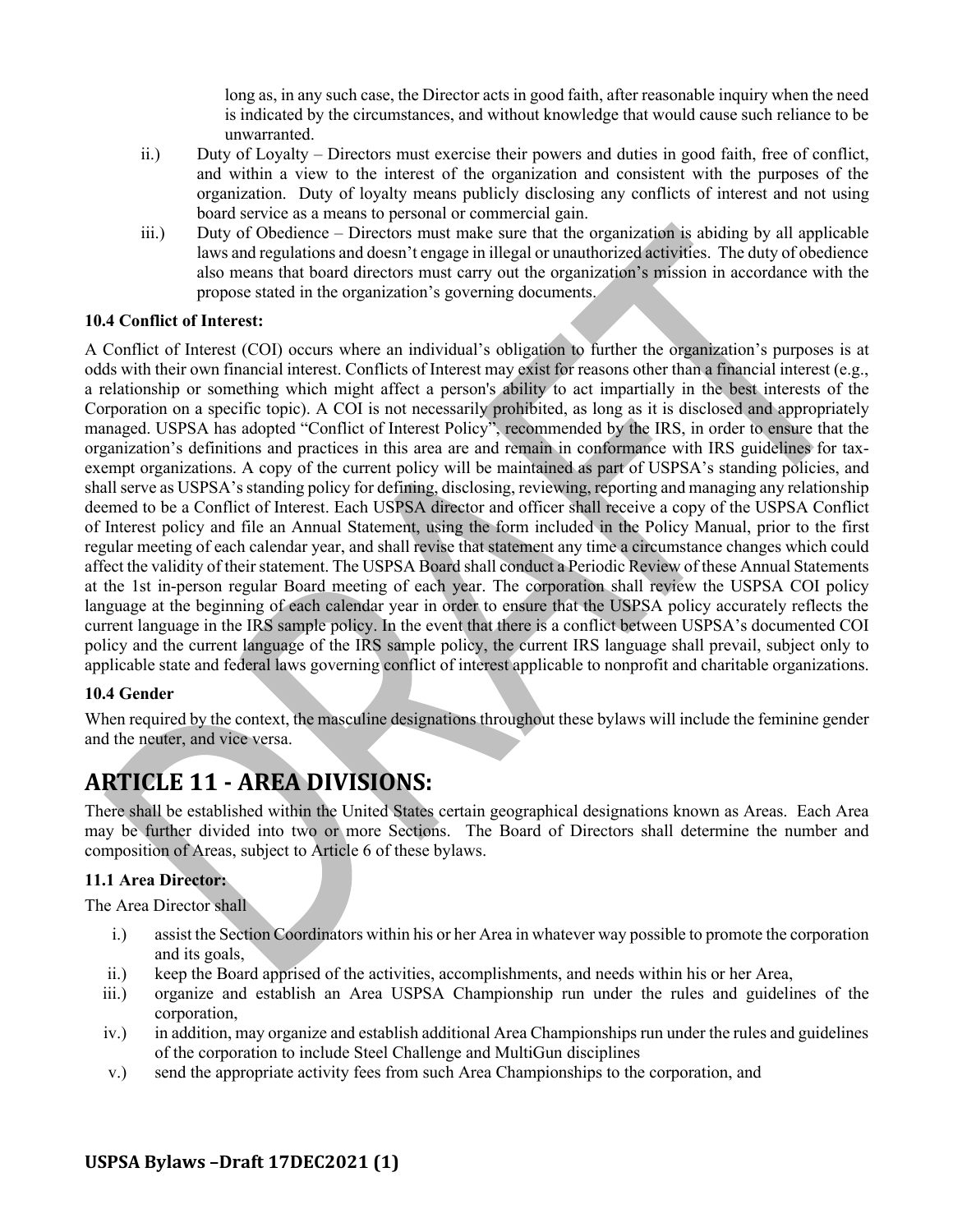long as, in any such case, the Director acts in good faith, after reasonable inquiry when the need is indicated by the circumstances, and without knowledge that would cause such reliance to be unwarranted.

- ii.) Duty of Loyalty Directors must exercise their powers and duties in good faith, free of conflict, and within a view to the interest of the organization and consistent with the purposes of the organization. Duty of loyalty means publicly disclosing any conflicts of interest and not using board service as a means to personal or commercial gain.
- iii.) Duty of Obedience Directors must make sure that the organization is abiding by all applicable laws and regulations and doesn't engage in illegal or unauthorized activities. The duty of obedience also means that board directors must carry out the organization's mission in accordance with the propose stated in the organization's governing documents.

# **10.4 Conflict of Interest:**

A Conflict of Interest (COI) occurs where an individual's obligation to further the organization's purposes is at odds with their own financial interest. Conflicts of Interest may exist for reasons other than a financial interest (e.g., a relationship or something which might affect a person's ability to act impartially in the best interests of the Corporation on a specific topic). A COI is not necessarily prohibited, as long as it is disclosed and appropriately managed. USPSA has adopted "Conflict of Interest Policy", recommended by the IRS, in order to ensure that the organization's definitions and practices in this area are and remain in conformance with IRS guidelines for taxexempt organizations. A copy of the current policy will be maintained as part of USPSA's standing policies, and shall serve as USPSA's standing policy for defining, disclosing, reviewing, reporting and managing any relationship deemed to be a Conflict of Interest. Each USPSA director and officer shall receive a copy of the USPSA Conflict of Interest policy and file an Annual Statement, using the form included in the Policy Manual, prior to the first regular meeting of each calendar year, and shall revise that statement any time a circumstance changes which could affect the validity of their statement. The USPSA Board shall conduct a Periodic Review of these Annual Statements at the 1st in-person regular Board meeting of each year. The corporation shall review the USPSA COI policy language at the beginning of each calendar year in order to ensure that the USPSA policy accurately reflects the current language in the IRS sample policy. In the event that there is a conflict between USPSA's documented COI policy and the current language of the IRS sample policy, the current IRS language shall prevail, subject only to applicable state and federal laws governing conflict of interest applicable to nonprofit and charitable organizations.

# **10.4 Gender**

When required by the context, the masculine designations throughout these bylaws will include the feminine gender and the neuter, and vice versa.

# **ARTICLE 11 - AREA DIVISIONS:**

There shall be established within the United States certain geographical designations known as Areas. Each Area may be further divided into two or more Sections. The Board of Directors shall determine the number and composition of Areas, subject to Article 6 of these bylaws.

# **11.1 Area Director:**

The Area Director shall

- i.) assist the Section Coordinators within his or her Area in whatever way possible to promote the corporation and its goals,
- ii.) keep the Board apprised of the activities, accomplishments, and needs within his or her Area,
- iii.) organize and establish an Area USPSA Championship run under the rules and guidelines of the corporation,
- iv.) in addition, may organize and establish additional Area Championships run under the rules and guidelines of the corporation to include Steel Challenge and MultiGun disciplines
- v.) send the appropriate activity fees from such Area Championships to the corporation, and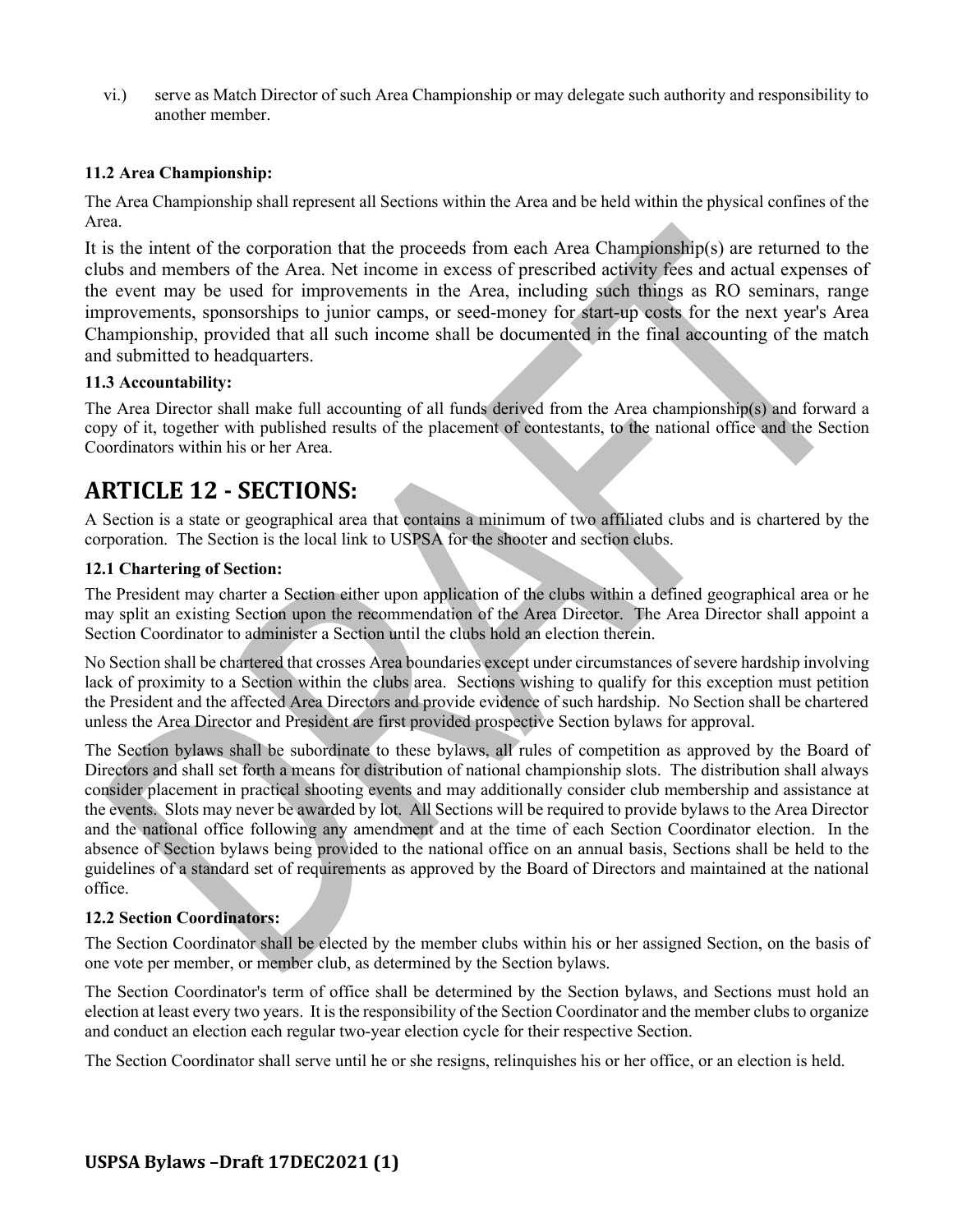vi.) serve as Match Director of such Area Championship or may delegate such authority and responsibility to another member.

#### **11.2 Area Championship:**

The Area Championship shall represent all Sections within the Area and be held within the physical confines of the Area.

It is the intent of the corporation that the proceeds from each Area Championship(s) are returned to the clubs and members of the Area. Net income in excess of prescribed activity fees and actual expenses of the event may be used for improvements in the Area, including such things as RO seminars, range improvements, sponsorships to junior camps, or seed-money for start-up costs for the next year's Area Championship, provided that all such income shall be documented in the final accounting of the match and submitted to headquarters.

#### **11.3 Accountability:**

The Area Director shall make full accounting of all funds derived from the Area championship(s) and forward a copy of it, together with published results of the placement of contestants, to the national office and the Section Coordinators within his or her Area.

# **ARTICLE 12 - SECTIONS:**

A Section is a state or geographical area that contains a minimum of two affiliated clubs and is chartered by the corporation. The Section is the local link to USPSA for the shooter and section clubs.

#### **12.1 Chartering of Section:**

The President may charter a Section either upon application of the clubs within a defined geographical area or he may split an existing Section upon the recommendation of the Area Director. The Area Director shall appoint a Section Coordinator to administer a Section until the clubs hold an election therein.

No Section shall be chartered that crosses Area boundaries except under circumstances of severe hardship involving lack of proximity to a Section within the clubs area. Sections wishing to qualify for this exception must petition the President and the affected Area Directors and provide evidence of such hardship. No Section shall be chartered unless the Area Director and President are first provided prospective Section bylaws for approval.

The Section bylaws shall be subordinate to these bylaws, all rules of competition as approved by the Board of Directors and shall set forth a means for distribution of national championship slots. The distribution shall always consider placement in practical shooting events and may additionally consider club membership and assistance at the events. Slots may never be awarded by lot. All Sections will be required to provide bylaws to the Area Director and the national office following any amendment and at the time of each Section Coordinator election. In the absence of Section bylaws being provided to the national office on an annual basis, Sections shall be held to the guidelines of a standard set of requirements as approved by the Board of Directors and maintained at the national office.

#### **12.2 Section Coordinators:**

The Section Coordinator shall be elected by the member clubs within his or her assigned Section, on the basis of one vote per member, or member club, as determined by the Section bylaws.

The Section Coordinator's term of office shall be determined by the Section bylaws, and Sections must hold an election at least every two years. It is the responsibility of the Section Coordinator and the member clubs to organize and conduct an election each regular two-year election cycle for their respective Section.

The Section Coordinator shall serve until he or she resigns, relinquishes his or her office, or an election is held.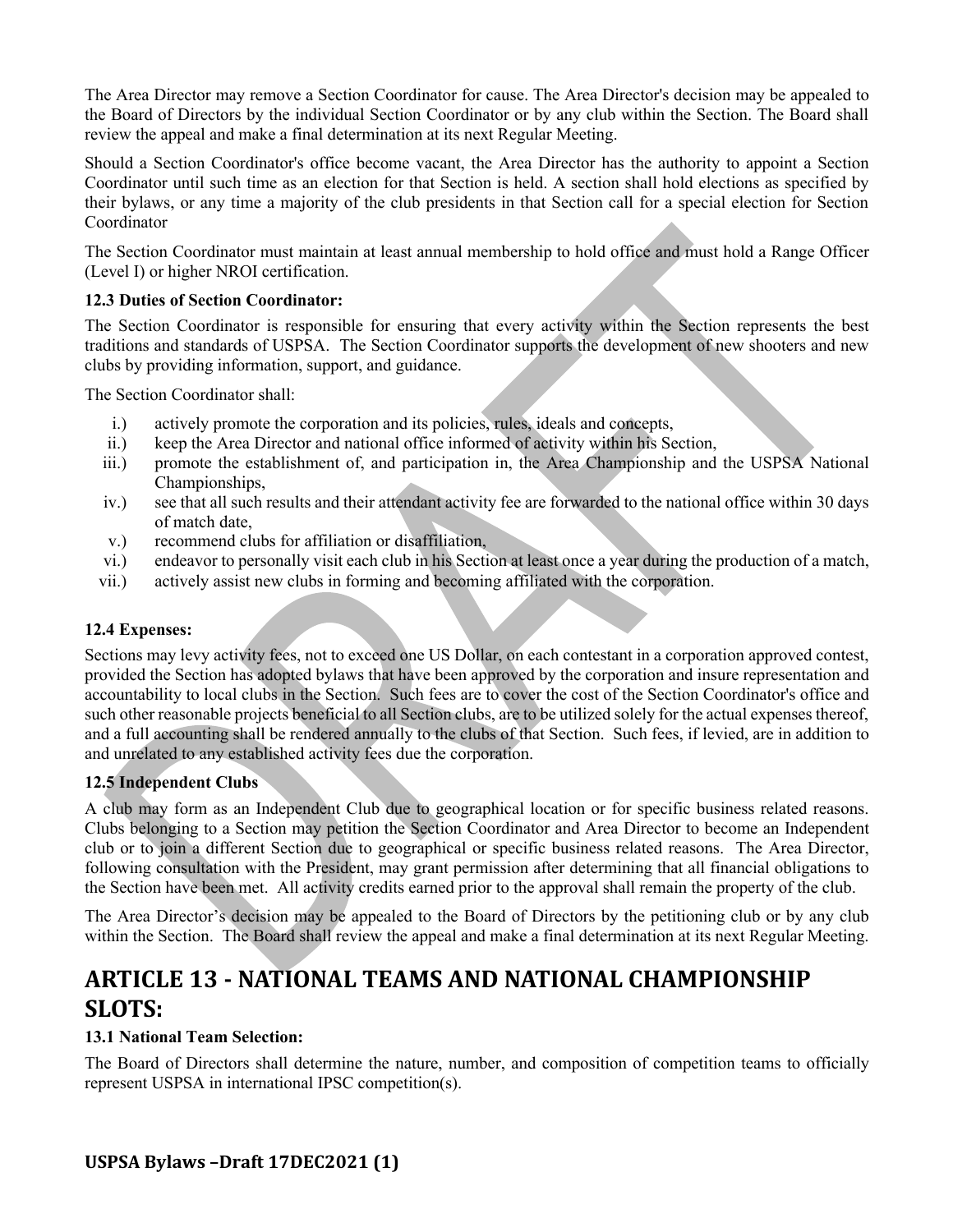The Area Director may remove a Section Coordinator for cause. The Area Director's decision may be appealed to the Board of Directors by the individual Section Coordinator or by any club within the Section. The Board shall review the appeal and make a final determination at its next Regular Meeting.

Should a Section Coordinator's office become vacant, the Area Director has the authority to appoint a Section Coordinator until such time as an election for that Section is held. A section shall hold elections as specified by their bylaws, or any time a majority of the club presidents in that Section call for a special election for Section Coordinator

The Section Coordinator must maintain at least annual membership to hold office and must hold a Range Officer (Level I) or higher NROI certification.

#### **12.3 Duties of Section Coordinator:**

The Section Coordinator is responsible for ensuring that every activity within the Section represents the best traditions and standards of USPSA. The Section Coordinator supports the development of new shooters and new clubs by providing information, support, and guidance.

The Section Coordinator shall:

- i.) actively promote the corporation and its policies, rules, ideals and concepts,
- ii.) keep the Area Director and national office informed of activity within his Section,
- iii.) promote the establishment of, and participation in, the Area Championship and the USPSA National Championships,
- iv.) see that all such results and their attendant activity fee are forwarded to the national office within 30 days of match date,
- v.) recommend clubs for affiliation or disaffiliation,
- vi.) endeavor to personally visit each club in his Section at least once a year during the production of a match,
- vii.) actively assist new clubs in forming and becoming affiliated with the corporation.

# **12.4 Expenses:**

Sections may levy activity fees, not to exceed one US Dollar, on each contestant in a corporation approved contest, provided the Section has adopted bylaws that have been approved by the corporation and insure representation and accountability to local clubs in the Section. Such fees are to cover the cost of the Section Coordinator's office and such other reasonable projects beneficial to all Section clubs, are to be utilized solely for the actual expenses thereof, and a full accounting shall be rendered annually to the clubs of that Section. Such fees, if levied, are in addition to and unrelated to any established activity fees due the corporation.

# **12.5 Independent Clubs**

A club may form as an Independent Club due to geographical location or for specific business related reasons. Clubs belonging to a Section may petition the Section Coordinator and Area Director to become an Independent club or to join a different Section due to geographical or specific business related reasons. The Area Director, following consultation with the President, may grant permission after determining that all financial obligations to the Section have been met. All activity credits earned prior to the approval shall remain the property of the club.

The Area Director's decision may be appealed to the Board of Directors by the petitioning club or by any club within the Section. The Board shall review the appeal and make a final determination at its next Regular Meeting.

# **ARTICLE 13 - NATIONAL TEAMS AND NATIONAL CHAMPIONSHIP SLOTS:**

# **13.1 National Team Selection:**

The Board of Directors shall determine the nature, number, and composition of competition teams to officially represent USPSA in international IPSC competition(s).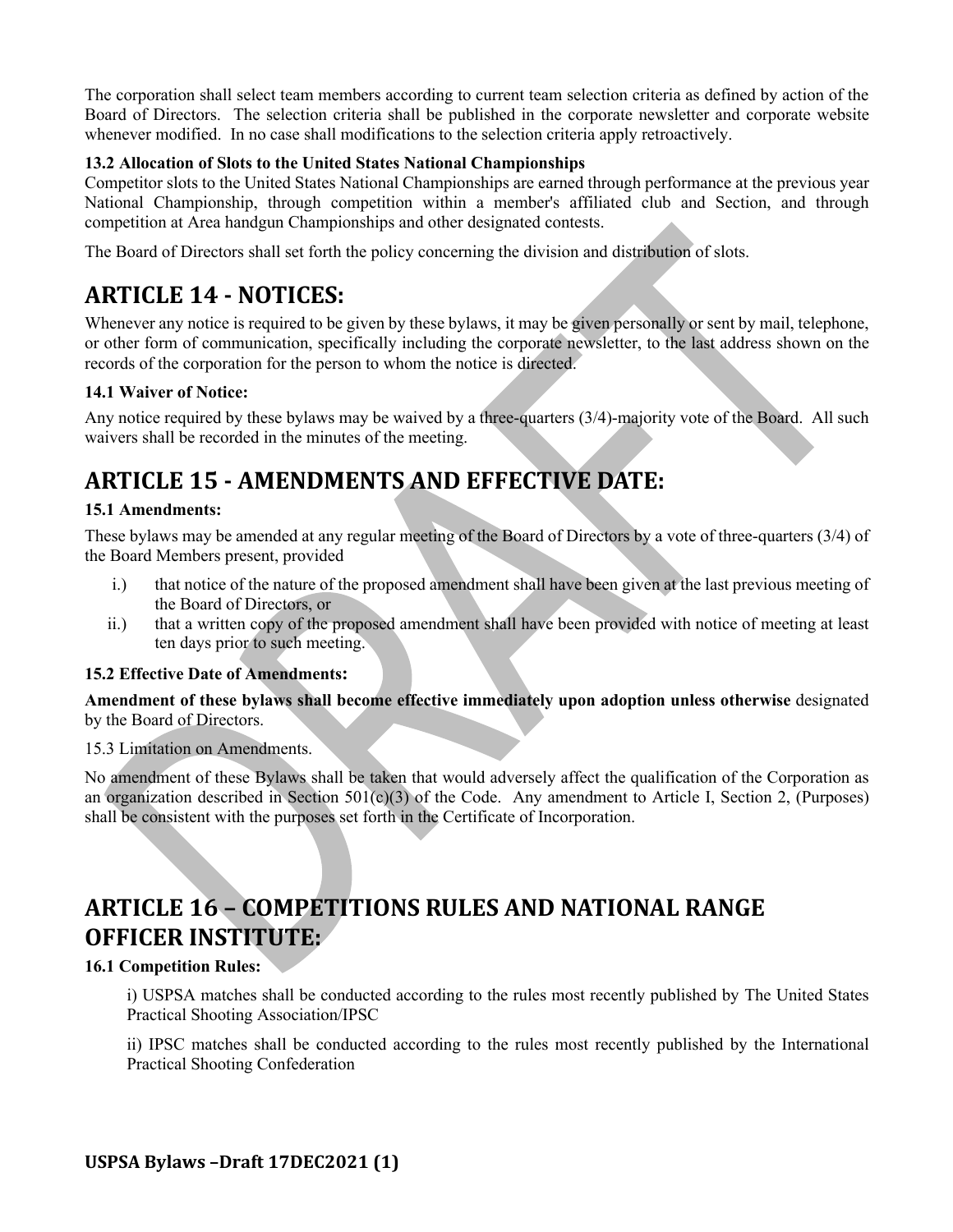The corporation shall select team members according to current team selection criteria as defined by action of the Board of Directors. The selection criteria shall be published in the corporate newsletter and corporate website whenever modified. In no case shall modifications to the selection criteria apply retroactively.

# **13.2 Allocation of Slots to the United States National Championships**

Competitor slots to the United States National Championships are earned through performance at the previous year National Championship, through competition within a member's affiliated club and Section, and through competition at Area handgun Championships and other designated contests.

The Board of Directors shall set forth the policy concerning the division and distribution of slots.

# **ARTICLE 14 - NOTICES:**

Whenever any notice is required to be given by these bylaws, it may be given personally or sent by mail, telephone, or other form of communication, specifically including the corporate newsletter, to the last address shown on the records of the corporation for the person to whom the notice is directed.

### **14.1 Waiver of Notice:**

Any notice required by these bylaws may be waived by a three-quarters (3/4)-majority vote of the Board. All such waivers shall be recorded in the minutes of the meeting.

# **ARTICLE 15 - AMENDMENTS AND EFFECTIVE DATE:**

### **15.1 Amendments:**

These bylaws may be amended at any regular meeting of the Board of Directors by a vote of three-quarters (3/4) of the Board Members present, provided

- i.) that notice of the nature of the proposed amendment shall have been given at the last previous meeting of the Board of Directors, or
- ii.) that a written copy of the proposed amendment shall have been provided with notice of meeting at least ten days prior to such meeting.

#### **15.2 Effective Date of Amendments:**

**Amendment of these bylaws shall become effective immediately upon adoption unless otherwise** designated by the Board of Directors.

15.3 Limitation on Amendments.

No amendment of these Bylaws shall be taken that would adversely affect the qualification of the Corporation as an organization described in Section 501(c)(3) of the Code. Any amendment to Article I, Section 2, (Purposes) shall be consistent with the purposes set forth in the Certificate of Incorporation.

# **ARTICLE 16 - COMPETITIONS RULES AND NATIONAL RANGE OFFICER INSTITUTE:**

# **16.1 Competition Rules:**

i) USPSA matches shall be conducted according to the rules most recently published by The United States Practical Shooting Association/IPSC

ii) IPSC matches shall be conducted according to the rules most recently published by the International Practical Shooting Confederation